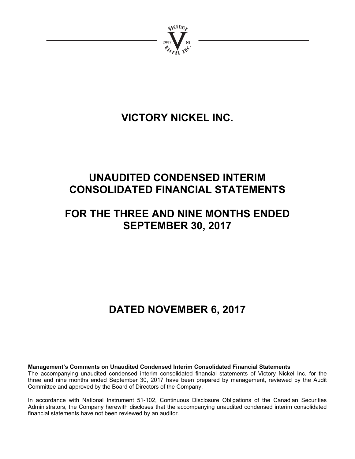

# **VICTORY NICKEL INC.**

# **UNAUDITED CONDENSED INTERIM CONSOLIDATED FINANCIAL STATEMENTS**

## **FOR THE THREE AND NINE MONTHS ENDED SEPTEMBER 30, 2017**

# **DATED NOVEMBER 6, 2017**

**Management's Comments on Unaudited Condensed Interim Consolidated Financial Statements** 

The accompanying unaudited condensed interim consolidated financial statements of Victory Nickel Inc. for the three and nine months ended September 30, 2017 have been prepared by management, reviewed by the Audit Committee and approved by the Board of Directors of the Company.

In accordance with National Instrument 51-102, Continuous Disclosure Obligations of the Canadian Securities Administrators, the Company herewith discloses that the accompanying unaudited condensed interim consolidated financial statements have not been reviewed by an auditor.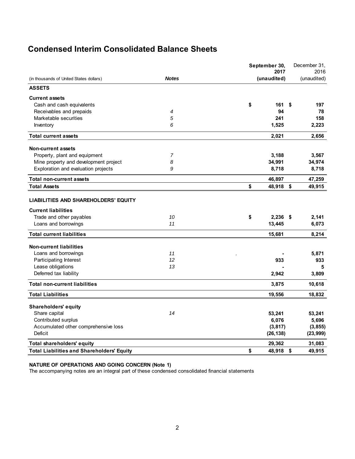## **Condensed Interim Consolidated Balance Sheets**

|                                                   |              | September 30,<br>2017 | December 31,<br>2016 |
|---------------------------------------------------|--------------|-----------------------|----------------------|
| (in thousands of United States dollars)           | <b>Notes</b> | (unaudited)           | (unaudited)          |
| <b>ASSETS</b>                                     |              |                       |                      |
| <b>Current assets</b>                             |              |                       |                      |
| Cash and cash equivalents                         |              | \$<br>161             | \$<br>197            |
| Receivables and prepaids                          | 4            | 94                    | 78                   |
| Marketable securities                             | 5            | 241                   | 158                  |
| Inventory                                         | 6            | 1,525                 | 2,223                |
| <b>Total current assets</b>                       |              | 2,021                 | 2,656                |
| Non-current assets                                |              |                       |                      |
| Property, plant and equipment                     | 7            | 3,188                 | 3,567                |
| Mine property and development project             | 8            | 34,991                | 34,974               |
| Exploration and evaluation projects               | 9            | 8,718                 | 8,718                |
| <b>Total non-current assets</b>                   |              | 46,897                | 47,259               |
| <b>Total Assets</b>                               |              | \$<br>48,918          | \$<br>49,915         |
| <b>LIABILITIES AND SHAREHOLDERS' EQUITY</b>       |              |                       |                      |
| <b>Current liabilities</b>                        |              |                       |                      |
| Trade and other payables                          | 10           | \$<br>$2,236$ \$      | 2,141                |
| Loans and borrowings                              | 11           | 13,445                | 6,073                |
| <b>Total current liabilities</b>                  |              | 15,681                | 8,214                |
| <b>Non-current liabilities</b>                    |              |                       |                      |
| Loans and borrowings                              | 11           |                       | 5,871                |
| Participating Interest                            | 12           | 933                   | 933                  |
| Lease obligations                                 | 13           |                       | 5                    |
| Deferred tax liability                            |              | 2,942                 | 3,809                |
| <b>Total non-current liabilities</b>              |              | 3,875                 | 10,618               |
| <b>Total Liabilities</b>                          |              | 19,556                | 18,832               |
| <b>Shareholders' equity</b>                       |              |                       |                      |
| Share capital                                     | 14           | 53,241                | 53,241               |
| Contributed surplus                               |              | 6,076                 | 5,696                |
| Accumulated other comprehensive loss              |              | (3, 817)              | (3, 855)             |
| Deficit                                           |              | (26, 138)             | (23, 999)            |
| <b>Total shareholders' equity</b>                 |              | 29,362                | 31,083               |
| <b>Total Liabilities and Shareholders' Equity</b> |              | \$<br>48,918          | \$<br>49,915         |

### **NATURE OF OPERATIONS AND GOING CONCERN (Note 1)**

The accompanying notes are an integral part of these condensed consolidated financial statements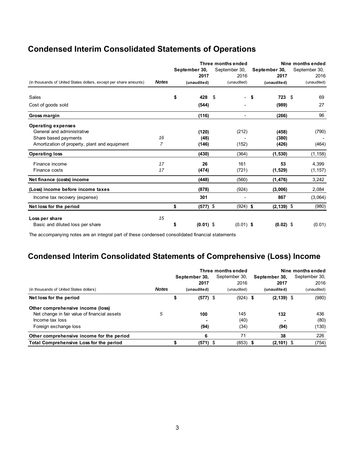## **Condensed Interim Consolidated Statements of Operations**

| Three months ended                                                |              |    |               |                                |      |               | Nine months ended |
|-------------------------------------------------------------------|--------------|----|---------------|--------------------------------|------|---------------|-------------------|
|                                                                   |              |    | September 30, | September 30,                  |      | September 30, | September 30,     |
|                                                                   |              |    | 2017          | 2016                           |      | 2017          | 2016              |
| (in thousands of United States dollars, except per share amounts) | <b>Notes</b> |    | (unaudited)   | (unaudited)                    |      | (unaudited)   | (unaudited)       |
| Sales                                                             |              | \$ | 428           | \$<br>$\overline{\phantom{0}}$ | - \$ | 723 \$        | 69                |
| Cost of goods sold                                                |              |    | (544)         |                                |      | (989)         | 27                |
| Gross margin                                                      |              |    | (116)         | $\blacksquare$                 |      | (266)         | 96                |
| <b>Operating expenses</b>                                         |              |    |               |                                |      |               |                   |
| General and administrative                                        |              |    | (120)         | (212)                          |      | (458)         | (790)             |
| Share based payments                                              | 16           |    | (48)          |                                |      | (380)         |                   |
| Amortization of property, plant and equipment                     | 7            |    | (146)         | (152)                          |      | (426)         | (464)             |
| <b>Operating loss</b>                                             |              |    | (430)         | (364)                          |      | (1, 530)      | (1, 158)          |
| Finance income                                                    | 17           |    | 26            | 161                            |      | 53            | 4,399             |
| Finance costs                                                     | 17           |    | (474)         | (721)                          |      | (1, 529)      | (1, 157)          |
| Net finance (costs) income                                        |              |    | (448)         | (560)                          |      | (1, 476)      | 3,242             |
| (Loss) income before income taxes                                 |              |    | (878)         | (924)                          |      | (3,006)       | 2,084             |
| Income tax recovery (expense)                                     |              |    | 301           |                                |      | 867           | (3,064)           |
| Net loss for the period                                           |              | \$ | $(577)$ \$    | $(924)$ \$                     |      | $(2, 139)$ \$ | (980)             |
| Loss per share                                                    | 15           |    |               |                                |      |               |                   |
| Basic and diluted loss per share                                  |              | \$ | $(0.01)$ \$   | $(0.01)$ \$                    |      | $(0.02)$ \$   | (0.01)            |

The accompanying notes are an integral part of these condensed consolidated financial statements

## **Condensed Interim Consolidated Statements of Comprehensive (Loss) Income**

|                                              |              | Three months ended |               |               |  | Nine months ended |  |               |  |
|----------------------------------------------|--------------|--------------------|---------------|---------------|--|-------------------|--|---------------|--|
|                                              |              |                    | September 30, | September 30, |  | September 30,     |  | September 30, |  |
|                                              |              |                    | 2017          | 2016          |  | 2017              |  | 2016          |  |
| (in thousands of United States dollars)      | <b>Notes</b> |                    | (unaudited)   | (unaudited)   |  | (unaudited)       |  | (unaudited)   |  |
| Net loss for the period                      |              | \$                 | $(577)$ \$    | $(924)$ \$    |  | $(2, 139)$ \$     |  | (980)         |  |
| Other comprehensive income (loss)            |              |                    |               |               |  |                   |  |               |  |
| Net change in fair value of financial assets | 5            |                    | 100           | 145           |  | 132               |  | 436           |  |
| Income tax loss                              |              |                    |               | (40)          |  | $\blacksquare$    |  | (80)          |  |
| Foreign exchange loss                        |              |                    | (94)          | (34)          |  | (94)              |  | (130)         |  |
| Other comprehensive income for the period    |              |                    | 6             | 71            |  | 38                |  | 226           |  |
| Total Comprehensive Loss for the period      |              |                    | $(571)$ \$    | $(853)$ \$    |  | $(2, 101)$ \$     |  | (754)         |  |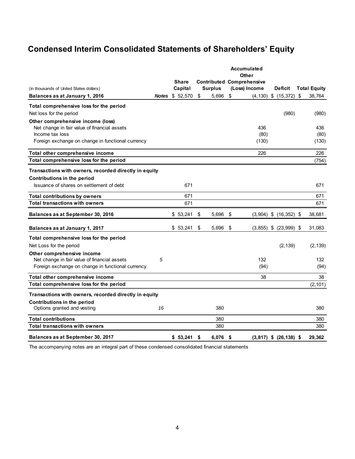## **Condensed Interim Consolidated Statements of Shareholders' Equity**

|                                                       |    | <b>Share</b>           |    |                |     | <b>Contributed Comprehensive</b> |                              |                     |
|-------------------------------------------------------|----|------------------------|----|----------------|-----|----------------------------------|------------------------------|---------------------|
| (in thousands of United States dollars)               |    | Capital                |    | <b>Surplus</b> |     | (Loss) Income                    | Deficit                      | <b>Total Equity</b> |
| Balances as at January 1, 2016                        |    | <b>Notes \$ 52,570</b> | \$ | 5,696          | \$  |                                  | $(4, 130)$ \$ $(15, 372)$ \$ | 38,764              |
| Total comprehensive loss for the period               |    |                        |    |                |     |                                  |                              |                     |
| Net loss for the period                               |    |                        |    |                |     |                                  | (980)                        | (980)               |
| Other comprehensive income (loss)                     |    |                        |    |                |     |                                  |                              |                     |
| Net change in fair value of financial assets          |    |                        |    |                |     | 436                              |                              | 436                 |
| Income tax loss                                       |    |                        |    |                |     | (80)                             |                              | (80)                |
| Foreign exchange on change in functional currency     |    |                        |    |                |     | (130)                            |                              | (130)               |
| Total other comprehensive income                      |    |                        |    |                |     | 226                              |                              | 226                 |
| Total comprehensive loss for the period               |    |                        |    |                |     |                                  |                              | (754)               |
| Transactions with owners, recorded directly in equity |    |                        |    |                |     |                                  |                              |                     |
| Contributions in the period                           |    |                        |    |                |     |                                  |                              |                     |
| Issuance of shares on settlement of debt              |    | 671                    |    |                |     |                                  |                              | 671                 |
| <b>Total contributions by owners</b>                  |    | 671                    |    |                |     |                                  |                              | 671                 |
| <b>Total transactions with owners</b>                 |    | 671                    |    |                |     |                                  |                              | 671                 |
| Balances as at September 30, 2016                     |    | \$53,241               | \$ | 5,696          | S   |                                  | $(3,904)$ \$ $(16,352)$ \$   | 38,681              |
| Balances as at January 1, 2017                        |    | \$53,241               | \$ | 5,696          | \$  |                                  | $(3,855)$ \$ $(23,999)$ \$   | 31,083              |
| Total comprehensive loss for the period               |    |                        |    |                |     |                                  |                              |                     |
| Net Loss for the period                               |    |                        |    |                |     |                                  | (2, 139)                     | (2, 139)            |
| Other comprehensive income                            |    |                        |    |                |     |                                  |                              |                     |
| Net change in fair value of financial assets          | 5  |                        |    |                |     | 132                              |                              | 132                 |
| Foreign exchange on change in functional currency     |    |                        |    |                |     | (94)                             |                              | (94)                |
| Total other comprehensive income                      |    |                        |    |                |     | 38                               |                              | 38                  |
| Total comprehensive loss for the period               |    |                        |    |                |     |                                  |                              | (2, 101)            |
| Transactions with owners, recorded directly in equity |    |                        |    |                |     |                                  |                              |                     |
| Contributions in the period                           |    |                        |    |                |     |                                  |                              |                     |
| Options granted and vesting                           | 16 |                        |    | 380            |     |                                  |                              | 380                 |
| <b>Total contributions</b>                            |    |                        |    | 380            |     |                                  |                              | 380                 |
| <b>Total transactions with owners</b>                 |    |                        |    | 380            |     |                                  |                              | 380                 |
| Balances as at September 30, 2017                     |    | $$53,241$ \$           |    | 6,076          | -\$ |                                  | $(3,817)$ \$ $(26,138)$ \$   | 29,362              |

The accompanying notes are an integral part of these condensed consolidated financial statements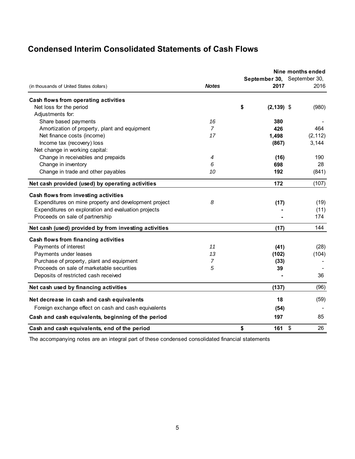## **Condensed Interim Consolidated Statements of Cash Flows**

|                                                       |                |                     | Nine months ended<br>September 30, September 30,<br>2016 |          |
|-------------------------------------------------------|----------------|---------------------|----------------------------------------------------------|----------|
| (in thousands of United States dollars)               | <b>Notes</b>   | 2017                |                                                          |          |
| Cash flows from operating activities                  |                |                     |                                                          |          |
| Net loss for the period                               |                | \$<br>$(2, 139)$ \$ |                                                          | (980)    |
| Adjustments for:                                      |                |                     |                                                          |          |
| Share based payments                                  | 16             | 380                 |                                                          |          |
| Amortization of property, plant and equipment         | $\overline{7}$ | 426                 |                                                          | 464      |
| Net finance costs (income)                            | 17             | 1,498               |                                                          | (2, 112) |
| Income tax (recovery) loss                            |                | (867)               |                                                          | 3,144    |
| Net change in working capital:                        |                |                     |                                                          |          |
| Change in receivables and prepaids                    | 4              | (16)                |                                                          | 190      |
| Change in inventory                                   | 6              | 698                 |                                                          | 28       |
| Change in trade and other payables                    | 10             | 192                 |                                                          | (841)    |
| Net cash provided (used) by operating activities      |                | 172                 |                                                          | (107)    |
| Cash flows from investing activities                  |                |                     |                                                          |          |
| Expenditures on mine property and development project | 8              | (17)                |                                                          | (19)     |
| Expenditures on exploration and evaluation projects   |                |                     |                                                          | (11)     |
| Proceeds on sale of partnership                       |                |                     |                                                          | 174      |
| Net cash (used) provided by from investing activities |                | (17)                |                                                          | 144      |
| Cash flows from financing activities                  |                |                     |                                                          |          |
| Payments of interest                                  | 11             | (41)                |                                                          | (28)     |
| Payments under leases                                 | 13             | (102)               |                                                          | (104)    |
| Purchase of property, plant and equipment             | $\overline{7}$ | (33)                |                                                          |          |
| Proceeds on sale of marketable securities             | 5              | 39                  |                                                          |          |
| Deposits of restricted cash received                  |                |                     |                                                          | 36       |
| Net cash used by financing activities                 |                | (137)               |                                                          | (96)     |
| Net decrease in cash and cash equivalents             |                | 18                  |                                                          | (59)     |
| Foreign exchange effect on cash and cash equivalents  |                | (54)                |                                                          |          |
| Cash and cash equivalents, beginning of the period    |                | 197                 |                                                          | 85       |
| Cash and cash equivalents, end of the period          |                | \$<br>161           | \$                                                       | 26       |

The accompanying notes are an integral part of these condensed consolidated financial statements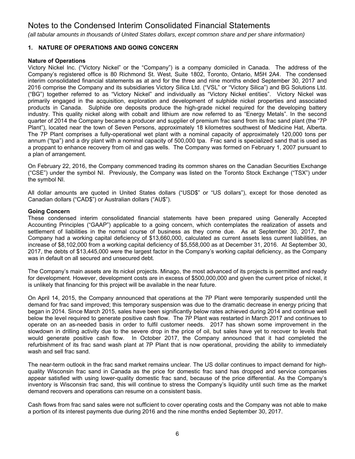*(all tabular amounts in thousands of United States dollars, except common share and per share information)*

### **1. NATURE OF OPERATIONS AND GOING CONCERN**

### **Nature of Operations**

Victory Nickel Inc. ("Victory Nickel" or the "Company") is a company domiciled in Canada. The address of the Company's registered office is 80 Richmond St. West, Suite 1802, Toronto, Ontario, M5H 2A4. The condensed interim consolidated financial statements as at and for the three and nine months ended September 30, 2017 and 2016 comprise the Company and its subsidiaries Victory Silica Ltd. ("VSL" or "Victory Silica") and BG Solutions Ltd. ("BG") together referred to as "Victory Nickel" and individually as "Victory Nickel entities". Victory Nickel was primarily engaged in the acquisition, exploration and development of sulphide nickel properties and associated products in Canada. Sulphide ore deposits produce the high-grade nickel required for the developing battery industry. This quality nickel along with cobalt and lithium are now referred to as "Energy Metals". In the second quarter of 2014 the Company became a producer and supplier of premium frac sand from its frac sand plant (the "7P Plant"), located near the town of Seven Persons, approximately 18 kilometres southwest of Medicine Hat, Alberta. The 7P Plant comprises a fully-operational wet plant with a nominal capacity of approximately 120,000 tons per annum ("tpa") and a dry plant with a nominal capacity of 500,000 tpa. Frac sand is specialized sand that is used as a proppant to enhance recovery from oil and gas wells. The Company was formed on February 1, 2007 pursuant to a plan of arrangement.

On February 22, 2016, the Company commenced trading its common shares on the Canadian Securities Exchange ("CSE") under the symbol NI. Previously, the Company was listed on the Toronto Stock Exchange ("TSX") under the symbol NI.

All dollar amounts are quoted in United States dollars ("USD\$" or "US dollars"), except for those denoted as Canadian dollars ("CAD\$") or Australian dollars ("AU\$").

### **Going Concern**

These condensed interim consolidated financial statements have been prepared using Generally Accepted Accounting Principles ("GAAP") applicable to a going concern, which contemplates the realization of assets and settlement of liabilities in the normal course of business as they come due. As at September 30, 2017, the Company had a working capital deficiency of \$13,660,000, calculated as current assets less current liabilities, an increase of \$8,102,000 from a working capital deficiency of \$5,558,000 as at December 31, 2016. At September 30, 2017, the debts of \$13,445,000 were the largest factor in the Company's working capital deficiency, as the Company was in default on all secured and unsecured debt.

The Company's main assets are its nickel projects. Minago, the most advanced of its projects is permitted and ready for development. However, development costs are in excess of \$500,000,000 and given the current price of nickel, it is unlikely that financing for this project will be available in the near future.

On April 14, 2015, the Company announced that operations at the 7P Plant were temporarily suspended until the demand for frac sand improved; this temporary suspension was due to the dramatic decrease in energy pricing that began in 2014. Since March 2015, sales have been significantly below rates achieved during 2014 and continue well below the level required to generate positive cash flow. The 7P Plant was restarted in March 2017 and continues to operate on an as-needed basis in order to fulfil customer needs. 2017 has shown some improvement in the slowdown in drilling activity due to the severe drop in the price of oil, but sales have yet to recover to levels that would generate positive cash flow. In October 2017, the Company announced that it had completed the refurbishment of its frac sand wash plant at 7P Plant that is now operational, providing the ability to immediately wash and sell frac sand.

The near-term outlook in the frac sand market remains unclear. The US dollar continues to impact demand for highquality Wisconsin frac sand in Canada as the price for domestic frac sand has dropped and service companies appear satisfied with using lower-quality domestic frac sand, because of the price differential. As the Company's inventory is Wisconsin frac sand, this will continue to stress the Company's liquidity until such time as the market demand recovers and operations can resume on a consistent basis.

Cash flows from frac sand sales were not sufficient to cover operating costs and the Company was not able to make a portion of its interest payments due during 2016 and the nine months ended September 30, 2017.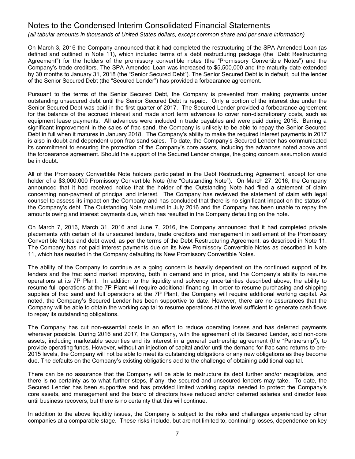*(all tabular amounts in thousands of United States dollars, except common share and per share information)*

On March 3, 2016 the Company announced that it had completed the restructuring of the SPA Amended Loan (as defined and outlined in Note 11), which included terms of a debt restructuring package (the "Debt Restructuring Agreement") for the holders of the promissory convertible notes (the "Promissory Convertible Notes") and the Company's trade creditors. The SPA Amended Loan was increased to \$5,500,000 and the maturity date extended by 30 months to January 31, 2018 (the "Senior Secured Debt"). The Senior Secured Debt is in default, but the lender of the Senior Secured Debt (the "Secured Lender") has provided a forbearance agreement.

Pursuant to the terms of the Senior Secured Debt, the Company is prevented from making payments under outstanding unsecured debt until the Senior Secured Debt is repaid. Only a portion of the interest due under the Senior Secured Debt was paid in the first quarter of 2017. The Secured Lender provided a forbearance agreement for the balance of the accrued interest and made short term advances to cover non-discretionary costs, such as equipment lease payments. All advances were included in trade payables and were paid during 2016. Barring a significant improvement in the sales of frac sand, the Company is unlikely to be able to repay the Senior Secured Debt in full when it matures in January 2018. The Company's ability to make the required interest payments in 2017 is also in doubt and dependent upon frac sand sales. To date, the Company's Secured Lender has communicated its commitment to ensuring the protection of the Company's core assets, including the advances noted above and the forbearance agreement. Should the support of the Secured Lender change, the going concern assumption would be in doubt.

All of the Promissory Convertible Note holders participated in the Debt Restructuring Agreement, except for one holder of a \$3,000,000 Promissory Convertible Note (the "Outstanding Note"). On March 27, 2016, the Company announced that it had received notice that the holder of the Outstanding Note had filed a statement of claim concerning non-payment of principal and interest. The Company has reviewed the statement of claim with legal counsel to assess its impact on the Company and has concluded that there is no significant impact on the status of the Company's debt. The Outstanding Note matured in July 2016 and the Company has been unable to repay the amounts owing and interest payments due, which has resulted in the Company defaulting on the note.

On March 7, 2016, March 31, 2016 and June 7, 2016, the Company announced that it had completed private placements with certain of its unsecured lenders, trade creditors and management in settlement of the Promissory Convertible Notes and debt owed, as per the terms of the Debt Restructuring Agreement, as described in Note 11. The Company has not paid interest payments due on its New Promissory Convertible Notes as described in Note 11, which has resulted in the Company defaulting its New Promissory Convertible Notes.

The ability of the Company to continue as a going concern is heavily dependent on the continued support of its lenders and the frac sand market improving, both in demand and in price, and the Company's ability to resume operations at its 7P Plant. In addition to the liquidity and solvency uncertainties described above, the ability to resume full operations at the 7P Plant will require additional financing. In order to resume purchasing and shipping supplies of frac sand and full operations at the 7P Plant, the Company will require additional working capital. As noted, the Company's Secured Lender has been supportive to date. However, there are no assurances that the Company will be able to obtain the working capital to resume operations at the level sufficient to generate cash flows to repay its outstanding obligations.

The Company has cut non-essential costs in an effort to reduce operating losses and has deferred payments wherever possible. During 2016 and 2017, the Company, with the agreement of its Secured Lender, sold non-core assets, including marketable securities and its interest in a general partnership agreement (the "Partnership"), to provide operating funds. However, without an injection of capital and/or until the demand for frac sand returns to pre-2015 levels, the Company will not be able to meet its outstanding obligations or any new obligations as they become due. The defaults on the Company's existing obligations add to the challenge of obtaining additional capital.

There can be no assurance that the Company will be able to restructure its debt further and/or recapitalize, and there is no certainty as to what further steps, if any, the secured and unsecured lenders may take. To date, the Secured Lender has been supportive and has provided limited working capital needed to protect the Company's core assets, and management and the board of directors have reduced and/or deferred salaries and director fees until business recovers, but there is no certainty that this will continue.

In addition to the above liquidity issues, the Company is subject to the risks and challenges experienced by other companies at a comparable stage. These risks include, but are not limited to, continuing losses, dependence on key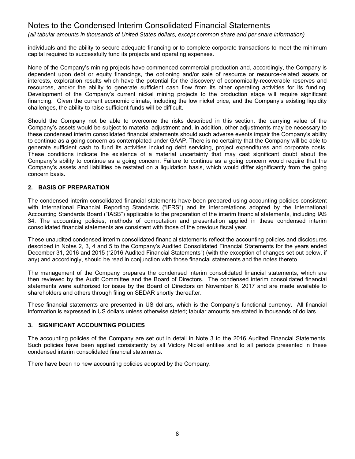*(all tabular amounts in thousands of United States dollars, except common share and per share information)*

individuals and the ability to secure adequate financing or to complete corporate transactions to meet the minimum capital required to successfully fund its projects and operating expenses.

None of the Company's mining projects have commenced commercial production and, accordingly, the Company is dependent upon debt or equity financings, the optioning and/or sale of resource or resource-related assets or interests, exploration results which have the potential for the discovery of economically-recoverable reserves and resources, and/or the ability to generate sufficient cash flow from its other operating activities for its funding. Development of the Company's current nickel mining projects to the production stage will require significant financing. Given the current economic climate, including the low nickel price, and the Company's existing liquidity challenges, the ability to raise sufficient funds will be difficult.

Should the Company not be able to overcome the risks described in this section, the carrying value of the Company's assets would be subject to material adjustment and, in addition, other adjustments may be necessary to these condensed interim consolidated financial statements should such adverse events impair the Company's ability to continue as a going concern as contemplated under GAAP. There is no certainty that the Company will be able to generate sufficient cash to fund its activities including debt servicing, project expenditures and corporate costs. These conditions indicate the existence of a material uncertainty that may cast significant doubt about the Company's ability to continue as a going concern. Failure to continue as a going concern would require that the Company's assets and liabilities be restated on a liquidation basis, which would differ significantly from the going concern basis.

### **2. BASIS OF PREPARATION**

The condensed interim consolidated financial statements have been prepared using accounting policies consistent with International Financial Reporting Standards ("IFRS") and its interpretations adopted by the International Accounting Standards Board ("IASB") applicable to the preparation of the interim financial statements, including IAS 34. The accounting policies, methods of computation and presentation applied in these condensed interim consolidated financial statements are consistent with those of the previous fiscal year.

These unaudited condensed interim consolidated financial statements reflect the accounting policies and disclosures described in Notes 2, 3, 4 and 5 to the Company's Audited Consolidated Financial Statements for the years ended December 31, 2016 and 2015 ("2016 Audited Financial Statements") (with the exception of changes set out below, if any) and accordingly, should be read in conjunction with those financial statements and the notes thereto.

The management of the Company prepares the condensed interim consolidated financial statements, which are then reviewed by the Audit Committee and the Board of Directors. The condensed interim consolidated financial statements were authorized for issue by the Board of Directors on November 6, 2017 and are made available to shareholders and others through filing on SEDAR shortly thereafter.

These financial statements are presented in US dollars, which is the Company's functional currency. All financial information is expressed in US dollars unless otherwise stated; tabular amounts are stated in thousands of dollars.

### **3. SIGNIFICANT ACCOUNTING POLICIES**

The accounting policies of the Company are set out in detail in Note 3 to the 2016 Audited Financial Statements. Such policies have been applied consistently by all Victory Nickel entities and to all periods presented in these condensed interim consolidated financial statements.

There have been no new accounting policies adopted by the Company.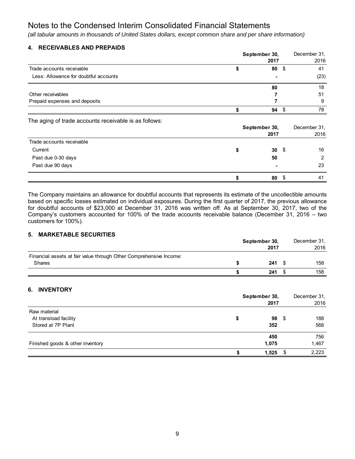*(all tabular amounts in thousands of United States dollars, except common share and per share information)*

### **4. RECEIVABLES AND PREPAIDS**

|                                       | September 30, |       |  |      |
|---------------------------------------|---------------|-------|--|------|
|                                       |               | 2017  |  | 2016 |
| Trade accounts receivable             |               | $80*$ |  | 41   |
| Less: Allowance for doubtful accounts |               | ۰     |  | (23) |
|                                       |               | 80    |  | 18   |
| Other receivables                     |               |       |  | 51   |
| Prepaid expenses and deposits         |               |       |  | 9    |
|                                       |               | 94    |  | 78   |

The aging of trade accounts receivable is as follows:

|                           |    | September 30,<br>2017 |    |  |  |  |  |
|---------------------------|----|-----------------------|----|--|--|--|--|
| Trade accounts receivable |    |                       |    |  |  |  |  |
| Current                   |    | $30 \quad$            | 16 |  |  |  |  |
| Past due 0-30 days        | 50 |                       | 2  |  |  |  |  |
| Past due 90 days          |    | $\blacksquare$        | 23 |  |  |  |  |
|                           |    | 80                    | 41 |  |  |  |  |

The Company maintains an allowance for doubtful accounts that represents its estimate of the uncollectible amounts based on specific losses estimated on individual exposures. During the first quarter of 2017, the previous allowance for doubtful accounts of \$23,000 at December 31, 2016 was written off. As at September 30, 2017, two of the Company's customers accounted for 100% of the trade accounts receivable balance (December 31, 2016 – two customers for 100%).

### **5. MARKETABLE SECURITIES**

|                                                                    | September 30, |      |  | December 31, |
|--------------------------------------------------------------------|---------------|------|--|--------------|
|                                                                    |               | 2016 |  |              |
| Financial assets at fair value through Other Comprehensive Income: |               |      |  |              |
| <b>Shares</b>                                                      |               | 241  |  | 158          |
|                                                                    |               | 241  |  | 158          |

### **6. INVENTORY**

|                                  | September 30,<br>2017 | December 31.<br>2016 |
|----------------------------------|-----------------------|----------------------|
| Raw material                     |                       |                      |
| At transload facility            | \$<br>98 \$           | 188                  |
| Stored at 7P Plant               | 352                   | 568                  |
|                                  | 450                   | 756                  |
| Finished goods & other inventory | 1,075                 | 1,467                |
|                                  | 1,525                 | 2,223                |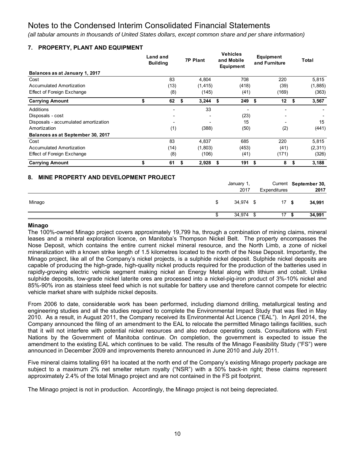*(all tabular amounts in thousands of United States dollars, except common share and per share information)*

**Vehicles** 

\$ 17 34,974 \$ **\$ 34,991**

### **7. PROPERTY, PLANT AND EQUIPMENT**

|                                             | Land and<br><b>Building</b> | <b>7P Plant</b> | venicies<br>and Mobile<br>Equipment | Equipment<br>and Furniture | Total                         |
|---------------------------------------------|-----------------------------|-----------------|-------------------------------------|----------------------------|-------------------------------|
| Balances as at January 1, 2017              |                             |                 |                                     |                            |                               |
| Cost                                        | 83                          | 4,804           | 708                                 | 220                        | 5,815                         |
| <b>Accumulated Amortization</b>             | (13)                        | (1, 415)        | (418)                               | (39)                       | (1,885)                       |
| Effect of Foreign Exchange                  | (8)                         | (145)           | (41)                                | (169)                      | (363)                         |
| <b>Carrying Amount</b>                      | \$<br>62                    | \$<br>3,244     | \$<br>249                           | \$<br>12 <sup>12</sup>     | \$<br>3,567                   |
| <b>Additions</b>                            | ٠                           | 33              |                                     | ٠                          |                               |
| Disposals - cost                            |                             |                 | (23)                                |                            |                               |
| Disposals - accumulated amortization        |                             |                 | 15                                  |                            | 15                            |
| Amortization                                | (1)                         | (388)           | (50)                                | (2)                        | (441)                         |
| Balances as at September 30, 2017           |                             |                 |                                     |                            |                               |
| Cost                                        | 83                          | 4,837           | 685                                 | 220                        | 5,815                         |
| <b>Accumulated Amortization</b>             | (14)                        | (1,803)         | (453)                               | (41)                       | (2, 311)                      |
| Effect of Foreign Exchange                  | (8)                         | (106)           | (41)                                | (171)                      | (326)                         |
| <b>Carrying Amount</b>                      | \$<br>61                    | \$<br>2,928     | \$<br>191                           | \$<br>8                    | \$<br>3,188                   |
| 8.<br>MINE PROPERTY AND DEVELOPMENT PROJECT |                             |                 | January 1,<br>2017                  | Expenditures               | Current September 30,<br>2017 |
| Minago                                      |                             |                 | \$<br>34,974 \$                     | 17                         | \$<br>34,991                  |

### **Minago**

The 100%-owned Minago project covers approximately 19,799 ha, through a combination of mining claims, mineral leases and a mineral exploration licence, on Manitoba's Thompson Nickel Belt. The property encompasses the Nose Deposit, which contains the entire current nickel mineral resource, and the North Limb, a zone of nickel mineralization with a known strike length of 1.5 kilometres located to the north of the Nose Deposit. Importantly, the Minago project, like all of the Company's nickel projects, is a sulphide nickel deposit. Sulphide nickel deposits are capable of producing the high-grade, high-quality nickel products required for the production of the batteries used in rapidly-growing electric vehicle segment making nickel an Energy Metal along with lithium and cobalt. Unlike sulphide deposits, low-grade nickel laterite ores are processed into a nickel-pig-iron product of 3%-10% nickel and 85%-90% iron as stainless steel feed which is not suitable for battery use and therefore cannot compete for electric vehicle market share with sulphide nickel deposits.

From 2006 to date, considerable work has been performed, including diamond drilling, metallurgical testing and engineering studies and all the studies required to complete the Environmental Impact Study that was filed in May 2010. As a result, in August 2011, the Company received its Environmental Act Licence ("EAL"). In April 2014, the Company announced the filing of an amendment to the EAL to relocate the permitted Minago tailings facilities, such that it will not interfere with potential nickel resources and also reduce operating costs. Consultations with First Nations by the Government of Manitoba continue. On completion, the government is expected to issue the amendment to the existing EAL which continues to be valid. The results of the Minago Feasibility Study ("FS") were announced in December 2009 and improvements thereto announced in June 2010 and July 2011.

Five mineral claims totalling 691 ha located at the north end of the Company's existing Minago property package are subject to a maximum 2% net smelter return royalty ("NSR") with a 50% back-in right; these claims represent approximately 2.4% of the total Minago project and are not contained in the FS pit footprint.

The Minago project is not in production. Accordingly, the Minago project is not being depreciated.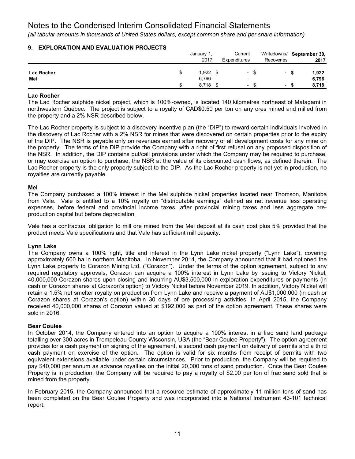*(all tabular amounts in thousands of United States dollars, except common share and per share information)*

|            |   | January 1,<br>2017 | Current<br>Expenditures  | Recoveries               |      | Writedowns/ September 30,<br>2017 |
|------------|---|--------------------|--------------------------|--------------------------|------|-----------------------------------|
| Lac Rocher | S | 1,922              | $\overline{\phantom{a}}$ | $\sim$                   | - 56 | 1,922                             |
| Mel        |   | 6.796              | -                        | $\overline{\phantom{0}}$ |      | 6.796                             |
|            |   | 8,718              | $\overline{\phantom{0}}$ | $\overline{\phantom{a}}$ | S    | 8,718                             |

### **9. EXPLORATION AND EVALUATION PROJECTS**

### **Lac Rocher**

The Lac Rocher sulphide nickel project, which is 100%-owned, is located 140 kilometres northeast of Matagami in northwestern Québec. The project is subject to a royalty of CAD\$0.50 per ton on any ores mined and milled from the property and a 2% NSR described below.

The Lac Rocher property is subject to a discovery incentive plan (the "DIP") to reward certain individuals involved in the discovery of Lac Rocher with a 2% NSR for mines that were discovered on certain properties prior to the expiry of the DIP. The NSR is payable only on revenues earned after recovery of all development costs for any mine on the property. The terms of the DIP provide the Company with a right of first refusal on any proposed disposition of the NSR. In addition, the DIP contains put/call provisions under which the Company may be required to purchase, or may exercise an option to purchase, the NSR at the value of its discounted cash flows, as defined therein. The Lac Rocher property is the only property subject to the DIP. As the Lac Rocher property is not yet in production, no royalties are currently payable.

### **Mel**

The Company purchased a 100% interest in the Mel sulphide nickel properties located near Thomson, Manitoba from Vale. Vale is entitled to a 10% royalty on "distributable earnings" defined as net revenue less operating expenses, before federal and provincial income taxes, after provincial mining taxes and less aggregate preproduction capital but before depreciation.

Vale has a contractual obligation to mill ore mined from the Mel deposit at its cash cost plus 5% provided that the product meets Vale specifications and that Vale has sufficient mill capacity.

### **Lynn Lake**

The Company owns a 100% right, title and interest in the Lynn Lake nickel property ("Lynn Lake"), covering approximately 600 ha in northern Manitoba. In November 2014, the Company announced that it had optioned the Lynn Lake property to Corazon Mining Ltd. ("Corazon"). Under the terms of the option agreement, subject to any required regulatory approvals, Corazon can acquire a 100% interest in Lynn Lake by issuing to Victory Nickel, 40,000,000 Corazon shares upon closing and incurring AU\$3,500,000 in exploration expenditures or payments (in cash or Corazon shares at Corazon's option) to Victory Nickel before November 2019. In addition, Victory Nickel will retain a 1.5% net smelter royalty on production from Lynn Lake and receive a payment of AU\$1,000,000 (in cash or Corazon shares at Corazon's option) within 30 days of ore processing activities. In April 2015, the Company received 40,000,000 shares of Corazon valued at \$192,000 as part of the option agreement. These shares were sold in 2016.

### **Bear Coulee**

In October 2014, the Company entered into an option to acquire a 100% interest in a frac sand land package totalling over 300 acres in Trempeleau County Wisconsin, USA (the "Bear Coulee Property"). The option agreement provides for a cash payment on signing of the agreement, a second cash payment on delivery of permits and a third cash payment on exercise of the option. The option is valid for six months from receipt of permits with two equivalent extensions available under certain circumstances. Prior to production, the Company will be required to pay \$40,000 per annum as advance royalties on the initial 20,000 tons of sand production. Once the Bear Coulee Property is in production, the Company will be required to pay a royalty of \$2.00 per ton of frac sand sold that is mined from the property.

In February 2015, the Company announced that a resource estimate of approximately 11 million tons of sand has been completed on the Bear Coulee Property and was incorporated into a National Instrument 43-101 technical report.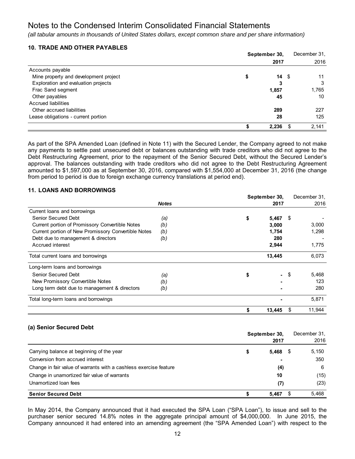*(all tabular amounts in thousands of United States dollars, except common share and per share information)*

### **10. TRADE AND OTHER PAYABLES**

|                                       | September 30, |            |   | December 31, |
|---------------------------------------|---------------|------------|---|--------------|
|                                       |               | 2017       |   | 2016         |
| Accounts payable                      |               |            |   |              |
| Mine property and development project | \$            | $14 \quad$ |   | 11           |
| Exploration and evaluation projects   |               | 3          |   | 3            |
| Frac Sand segment                     |               | 1,857      |   | 1,765        |
| Other payables                        |               | 45         |   | 10           |
| Accrued liabilities                   |               |            |   |              |
| Other accrued liabilities             |               | 289        |   | 227          |
| Lease obligations - current portion   |               | 28         |   | 125          |
|                                       |               | 2,236      | S | 2,141        |

As part of the SPA Amended Loan (defined in Note 11) with the Secured Lender, the Company agreed to not make any payments to settle past unsecured debt or balances outstanding with trade creditors who did not agree to the Debt Restructuring Agreement, prior to the repayment of the Senior Secured Debt, without the Secured Lender's approval. The balances outstanding with trade creditors who did not agree to the Debt Restructuring Agreement amounted to \$1,597,000 as at September 30, 2016, compared with \$1,554,000 at December 31, 2016 (the change from period to period is due to foreign exchange currency translations at period end).

### **11. LOANS AND BORROWINGS**

|                                                     |              | September 30, |                |     | December 31. |
|-----------------------------------------------------|--------------|---------------|----------------|-----|--------------|
|                                                     | <b>Notes</b> |               | 2017           |     | 2016         |
| Current loans and borrowings                        |              |               |                |     |              |
| Senior Secured Debt                                 | (a)          | \$            | 5,467          | -S  |              |
| Current portion of Promissory Convertible Notes     | (b)          |               | 3,000          |     | 3,000        |
| Current portion of New Promissory Convertible Notes | (b)          |               | 1,754          |     | 1,298        |
| Debt due to management & directors                  | (b)          |               | 280            |     |              |
| Accrued interest                                    |              |               | 2,944          |     | 1,775        |
| Total current loans and borrowings                  |              |               | 13,445         |     | 6,073        |
| Long-term loans and borrowings                      |              |               |                |     |              |
| Senior Secured Debt                                 | (a)          | \$            | $\blacksquare$ | -\$ | 5,468        |
| New Promissory Convertible Notes                    | (b)          |               |                |     | 123          |
| Long term debt due to management & directors        | (b)          |               |                |     | 280          |
| Total long-term loans and borrowings                |              |               |                |     | 5,871        |
|                                                     |              |               | 13,445         |     | 11,944       |

### **(a) Senior Secured Debt**

|                                                                   | September 30, |       | December 31. |       |
|-------------------------------------------------------------------|---------------|-------|--------------|-------|
|                                                                   |               | 2017  |              | 2016  |
| Carrying balance at beginning of the year                         |               | 5,468 |              | 5,150 |
| Conversion from accrued interest                                  |               |       |              | 350   |
| Change in fair value of warrants with a cashless exercise feature |               | (4)   |              | 6     |
| Change in unamortized fair value of warrants                      |               | 10    |              | (15)  |
| Unamortized Ioan fees                                             |               | (7)   |              | (23)  |
| <b>Senior Secured Debt</b>                                        |               | 5.467 |              | 5,468 |

In May 2014, the Company announced that it had executed the SPA Loan ("SPA Loan"), to issue and sell to the purchaser senior secured 14.8% notes in the aggregate principal amount of \$4,000,000. In June 2015, the Company announced it had entered into an amending agreement (the "SPA Amended Loan") with respect to the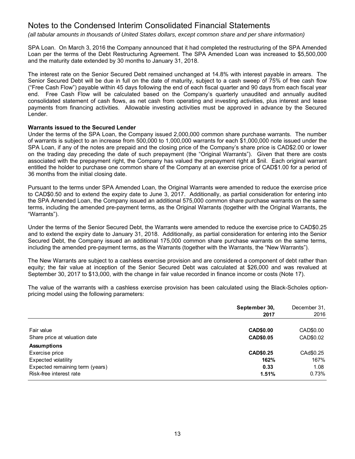*(all tabular amounts in thousands of United States dollars, except common share and per share information)*

SPA Loan. On March 3, 2016 the Company announced that it had completed the restructuring of the SPA Amended Loan per the terms of the Debt Restructuring Agreement. The SPA Amended Loan was increased to \$5,500,000 and the maturity date extended by 30 months to January 31, 2018.

The interest rate on the Senior Secured Debt remained unchanged at 14.8% with interest payable in arrears. The Senior Secured Debt will be due in full on the date of maturity, subject to a cash sweep of 75% of free cash flow ("Free Cash Flow") payable within 45 days following the end of each fiscal quarter and 90 days from each fiscal year end. Free Cash Flow will be calculated based on the Company's quarterly unaudited and annually audited consolidated statement of cash flows, as net cash from operating and investing activities, plus interest and lease payments from financing activities. Allowable investing activities must be approved in advance by the Secured Lender.

### **Warrants issued to the Secured Lender**

Under the terms of the SPA Loan, the Company issued 2,000,000 common share purchase warrants. The number of warrants is subject to an increase from 500,000 to 1,000,000 warrants for each \$1,000,000 note issued under the SPA Loan, if any of the notes are prepaid and the closing price of the Company's share price is CAD\$2.00 or lower on the trading day preceding the date of such prepayment (the "Original Warrants"). Given that there are costs associated with the prepayment right, the Company has valued the prepayment right at \$nil. Each original warrant entitled the holder to purchase one common share of the Company at an exercise price of CAD\$1.00 for a period of 36 months from the initial closing date.

Pursuant to the terms under SPA Amended Loan, the Original Warrants were amended to reduce the exercise price to CAD\$0.50 and to extend the expiry date to June 3, 2017. Additionally, as partial consideration for entering into the SPA Amended Loan, the Company issued an additional 575,000 common share purchase warrants on the same terms, including the amended pre-payment terms, as the Original Warrants (together with the Original Warrants, the "Warrants").

Under the terms of the Senior Secured Debt, the Warrants were amended to reduce the exercise price to CAD\$0.25 and to extend the expiry date to January 31, 2018. Additionally, as partial consideration for entering into the Senior Secured Debt, the Company issued an additional 175,000 common share purchase warrants on the same terms, including the amended pre-payment terms, as the Warrants (together with the Warrants, the "New Warrants").

The New Warrants are subject to a cashless exercise provision and are considered a component of debt rather than equity; the fair value at inception of the Senior Secured Debt was calculated at \$26,000 and was revalued at September 30, 2017 to \$13,000, with the change in fair value recorded in finance income or costs (Note 17).

The value of the warrants with a cashless exercise provision has been calculated using the Black-Scholes optionpricing model using the following parameters:

|                                 | September 30, | December 31, |
|---------------------------------|---------------|--------------|
|                                 | 2017          | 2016         |
| Fair value                      | CAD\$0.00     | CAD\$0.00    |
| Share price at valuation date   | CAD\$0.05     | CAD\$0.02    |
| <b>Assumptions</b>              |               |              |
| Exercise price                  | CAD\$0.25     | CAd\$0.25    |
| Expected volatility             | 162%          | 167%         |
| Expected remaining term (years) | 0.33          | 1.08         |
| Risk-free interest rate         | 1.51%         | 0.73%        |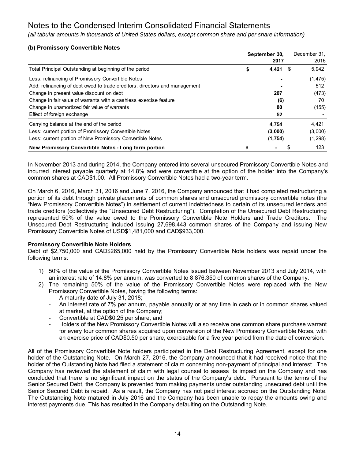*(all tabular amounts in thousands of United States dollars, except common share and per share information)*

### **(b) Promissory Convertible Notes**

|                                                                            | September 30, |         |    | December 31. |
|----------------------------------------------------------------------------|---------------|---------|----|--------------|
|                                                                            |               | 2017    |    | 2016         |
| Total Principal Outstanding at beginning of the period                     | \$            | 4,421   | S  | 5,942        |
| Less: refinancing of Promissory Convertible Notes                          |               |         |    | (1, 475)     |
| Add: refinancing of debt owed to trade creditors, directors and management |               |         |    | 512          |
| Change in present value discount on debt                                   |               | 207     |    | (473)        |
| Change in fair value of warrants with a cashless exercise feature          |               | (6)     |    | 70           |
| Change in unamortized fair value of warrants                               |               | 80      |    | (155)        |
| Effect of foreign exchange                                                 |               | 52      |    |              |
| Carrying balance at the end of the period                                  |               | 4,754   |    | 4,421        |
| Less: current portion of Promissory Convertible Notes                      |               | (3,000) |    | (3,000)      |
| Less: current portion of New Promissory Convertible Notes                  |               | (1,754) |    | (1, 298)     |
| New Promissory Convertible Notes - Long term portion                       | S             |         | \$ | 123          |

In November 2013 and during 2014, the Company entered into several unsecured Promissory Convertible Notes and incurred interest payable quarterly at 14.8% and were convertible at the option of the holder into the Company's common shares at CAD\$1.00. All Promissory Convertible Notes had a two-year term.

On March 6, 2016, March 31, 2016 and June 7, 2016, the Company announced that it had completed restructuring a portion of its debt through private placements of common shares and unsecured promissory convertible notes (the "New Promissory Convertible Notes") in settlement of current indebtedness to certain of its unsecured lenders and trade creditors (collectively the "Unsecured Debt Restructuring"). Completion of the Unsecured Debt Restructuring represented 50% of the value owed to the Promissory Convertible Note Holders and Trade Creditors. The Unsecured Debt Restructuring included issuing 27,698,443 common shares of the Company and issuing New Promissory Convertible Notes of USD\$1,481,000 and CAD\$933,000.

### **Promissory Convertible Note Holders**

Debt of \$2,750,000 and CAD\$265,000 held by the Promissory Convertible Note holders was repaid under the following terms:

- 1) 50% of the value of the Promissory Convertible Notes issued between November 2013 and July 2014, with an interest rate of 14.8% per annum, was converted to 8,876,350 of common shares of the Company.
- 2) The remaining 50% of the value of the Promissory Convertible Notes were replaced with the New Promissory Convertible Notes, having the following terms:
	- A maturity date of July 31, 2018;
	- An interest rate of 7% per annum, payable annually or at any time in cash or in common shares valued at market, at the option of the Company;
	- Convertible at CAD\$0.25 per share; and
	- Holders of the New Promissory Convertible Notes will also receive one common share purchase warrant for every four common shares acquired upon conversion of the New Promissory Convertible Notes, with an exercise price of CAD\$0.50 per share, exercisable for a five year period from the date of conversion.

All of the Promissory Convertible Note holders participated in the Debt Restructuring Agreement, except for one holder of the Outstanding Note. On March 27, 2016, the Company announced that it had received notice that the holder of the Outstanding Note had filed a statement of claim concerning non-payment of principal and interest. The Company has reviewed the statement of claim with legal counsel to assess its impact on the Company and has concluded that there is no significant impact on the status of the Company's debt. Pursuant to the terms of the Senior Secured Debt, the Company is prevented from making payments under outstanding unsecured debt until the Senior Secured Debt is repaid. As a result, the Company has not paid interest accrued on the Outstanding Note. The Outstanding Note matured in July 2016 and the Company has been unable to repay the amounts owing and interest payments due. This has resulted in the Company defaulting on the Outstanding Note.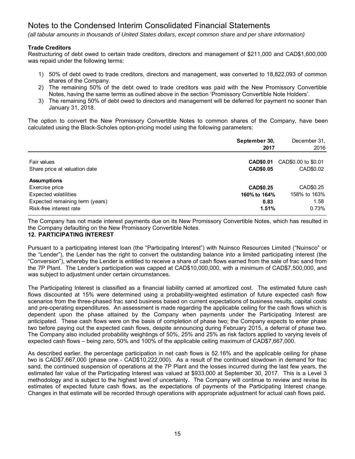*(all tabular amounts in thousands of United States dollars, except common share and per share information)*

### **Trade Creditors**

Restructuring of debt owed to certain trade creditors, directors and management of \$211,000 and CAD\$1,600,000 was repaid under the following terms:

- 1) 50% of debt owed to trade creditors, directors and management, was converted to 18,822,093 of common shares of the Company.
- 2) The remaining 50% of the debt owed to trade creditors was paid with the New Promissory Convertible Notes, having the same terms as outlined above in the section 'Promissory Convertible Note Holders'.
- 3) The remaining 50% of debt owed to directors and management will be deferred for payment no sooner than January 31, 2018.

The option to convert the New Promissory Convertible Notes to common shares of the Company, have been calculated using the Black-Scholes option-pricing model using the following parameters:

|                                 | September 30,<br>2017 | December 31,<br>2016 |
|---------------------------------|-----------------------|----------------------|
| Fair values                     | <b>CAD\$0.01</b>      | CAD\$0.00 to \$0.01  |
| Share price at valuation date   | CAD\$0.05             | CAD\$0.02            |
| <b>Assumptions</b>              |                       |                      |
| Exercise price                  | CAD\$0.25             | CAD\$0.25            |
| Expected volatilities           | 160% to 164%          | 158% to 163%         |
| Expected remaining term (years) | 0.83                  | 1.58                 |
| Risk-free interest rate         | 1.51%                 | 0.73%                |

The Company has not made interest payments due on its New Promissory Convertible Notes, which has resulted in the Company defaulting on the New Promissory Convertible Notes.

### **12. PARTICIPATING INTEREST**

Pursuant to a participating interest loan (the "Participating Interest") with Nuinsco Resources Limited ("Nuinsco" or the "Lender"), the Lender has the right to convert the outstanding balance into a limited participating interest (the "Conversion"), whereby the Lender is entitled to receive a share of cash flows earned from the sale of frac sand from the 7P Plant. The Lender's participation was capped at CAD\$10,000,000, with a minimum of CAD\$7,500,000, and was subject to adjustment under certain circumstances.

The Participating Interest is classified as a financial liability carried at amortized cost. The estimated future cash flows discounted at 15% were determined using a probability-weighted estimation of future expected cash flow scenarios from the three-phased frac sand business based on current expectations of business results, capital costs and pre-operating expenditures. An assessment is made regarding the applicable ceiling for the cash flows which is dependent upon the phase attained by the Company when payments under the Participating Interest are anticipated. These cash flows were on the basis of completion of phase two; the Company expects to enter phase two before paying out the expected cash flows, despite announcing during February 2015, a deferral of phase two. The Company also included probability weightings of 50%, 25% and 25% as risk factors applied to varying levels of expected cash flows – being zero, 50% and 100% of the applicable ceiling maximum of CAD\$7,667,000.

As described earlier, the percentage participation in net cash flows is 52.16% and the applicable ceiling for phase two is CAD\$7,667,000 (phase one - CAD\$10,222,000). As a result of the continued slowdown in demand for frac sand, the continued suspension of operations at the 7P Plant and the losses incurred during the last few years, the estimated fair value of the Participating Interest was valued at \$933,000 at September 30, 2017. This is a Level 3 methodology and is subject to the highest level of uncertainty. The Company will continue to review and revise its estimates of expected future cash flows, as the expectations of payments of the Participating Interest change. Changes in that estimate will be recorded through operations with appropriate adjustment for actual cash flows paid**.**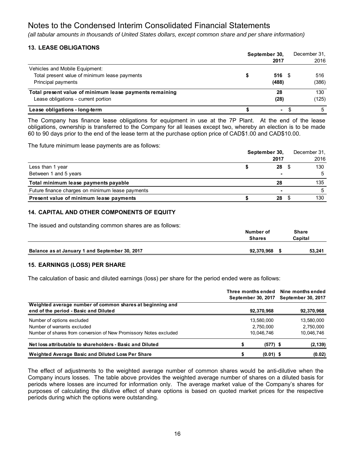*(all tabular amounts in thousands of United States dollars, except common share and per share information)*

### **13. LEASE OBLIGATIONS**

|                                                         | September 30, |      | December 31. |
|---------------------------------------------------------|---------------|------|--------------|
|                                                         | 2017          |      | 2016         |
| Vehicles and Mobile Equipment:                          |               |      |              |
| Total present value of minimum lease payments           | 516           | - 36 | 516          |
| Principal payments                                      | (488)         |      | (386)        |
| Total present value of minimum lease payments remaining | 28            |      | 130          |
| Lease obligations - current portion                     | (28)          |      | (125)        |
| Lease obligations - long-term                           | ۰             |      | 5            |

The Company has finance lease obligations for equipment in use at the 7P Plant. At the end of the lease obligations, ownership is transferred to the Company for all leases except two, whereby an election is to be made 60 to 90 days prior to the end of the lease term at the purchase option price of CAD\$1.00 and CAD\$10.00.

The future minimum lease payments are as follows:

|                                                  | September 30, |                | December 31, |      |
|--------------------------------------------------|---------------|----------------|--------------|------|
|                                                  |               | 2017           |              | 2016 |
| Less than 1 year                                 |               | 28             |              | 130  |
| Between 1 and 5 years                            |               | $\blacksquare$ |              |      |
| Total minimum lease payments payable             |               | 28             |              | 135  |
| Future finance charges on minimum lease payments |               | $\blacksquare$ |              |      |
| Present value of minimum lease payments          |               | 28             |              | 130  |

### **14. CAPITAL AND OTHER COMPONENTS OF EQUITY**

The issued and outstanding common shares are as follows:

|                                                | Number of<br><b>Shares</b> | <b>Share</b><br>Capital |
|------------------------------------------------|----------------------------|-------------------------|
| Balance as at January 1 and September 30, 2017 | 92.370.968                 | 53,241                  |

### **15. EARNINGS (LOSS) PER SHARE**

The calculation of basic and diluted earnings (loss) per share for the period ended were as follows:

|                                                                                                                                | September 30, 2017                    | Three months ended Nine months ended<br><b>September 30, 2017</b> |
|--------------------------------------------------------------------------------------------------------------------------------|---------------------------------------|-------------------------------------------------------------------|
| Weighted average number of common shares at beginning and<br>end of the period - Basic and Diluted                             | 92,370,968                            | 92,370,968                                                        |
| Number of options excluded<br>Number of warrants excluded<br>Number of shares from conversion of New Promissory Notes excluded | 13,580,000<br>2,750,000<br>10,046,746 | 13,580,000<br>2,750,000<br>10,046,746                             |
| Net loss attributable to shareholders - Basic and Diluted                                                                      | $(577)$ \$                            | (2, 139)                                                          |
| Weighted Average Basic and Diluted Loss Per Share                                                                              | $(0.01)$ \$                           | (0.02)                                                            |

The effect of adjustments to the weighted average number of common shares would be anti-dilutive when the Company incurs losses. The table above provides the weighted average number of shares on a diluted basis for periods where losses are incurred for information only. The average market value of the Company's shares for purposes of calculating the dilutive effect of share options is based on quoted market prices for the respective periods during which the options were outstanding.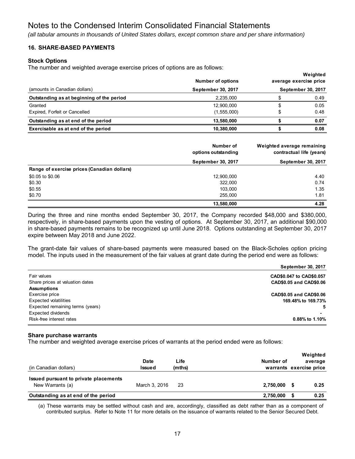*(all tabular amounts in thousands of United States dollars, except common share and per share information)*

### **16. SHARE-BASED PAYMENTS**

### **Stock Options**

The number and weighted average exercise prices of options are as follows:

|                                           | <b>Number of options</b> | Weighted<br>average exercise price |
|-------------------------------------------|--------------------------|------------------------------------|
| (amounts in Canadian dollars)             | September 30, 2017       | September 30, 2017                 |
| Outstanding as at beginning of the period | 2.235.000                | 0.49                               |
| Granted                                   | 12,900,000               | 0.05                               |
| Expired, Forfeit or Cancelled             | (1, 555, 000)            | 0.48                               |
| Outstanding as at end of the period       | 13.580.000               | 0.07                               |
| Exercisable as at end of the period       | 10.380.000               | 0.08                               |

**Weighted**

|                                             | Number of<br>options outstanding | Weighted average remaining<br>contractual life (years) |
|---------------------------------------------|----------------------------------|--------------------------------------------------------|
|                                             | September 30, 2017               | September 30, 2017                                     |
| Range of exercise prices (Canadian dollars) |                                  |                                                        |
| \$0.05 to \$0.06                            | 12,900,000                       | 4.40                                                   |
| \$0.30                                      | 322,000                          | 0.74                                                   |
| \$0.55                                      | 103,000                          | 1.35                                                   |
| \$0.70                                      | 255.000                          | 1.81                                                   |
|                                             | 13,580,000                       | 4.28                                                   |

During the three and nine months ended September 30, 2017, the Company recorded \$48,000 and \$380,000, respectively, in share-based payments upon the vesting of options. At September 30, 2017, an additional \$90,000 in share-based payments remains to be recognized up until June 2018. Options outstanding at September 30, 2017 expire between May 2018 and June 2022.

The grant-date fair values of share-based payments were measured based on the Black-Scholes option pricing model. The inputs used in the measurement of the fair values at grant date during the period end were as follows:

|                                  | September 30, 2017       |
|----------------------------------|--------------------------|
| Fair values                      | CAD\$0.047 to CAD\$0.057 |
| Share prices at valuation dates  | CAD\$0.05 and CAD\$0.06  |
| <b>Assumptions</b>               |                          |
| Exercise price                   | CAD\$0.05 and CAD\$0.06  |
| <b>Expected volatilities</b>     | 169.48% to 169.73%       |
| Expected remaining terms (years) | 5.                       |
| <b>Expected dividends</b>        |                          |
| Risk-free interest rates         | 0.88% to 1.10%           |

### **Share purchase warrants**

The number and weighted average exercise prices of warrants at the period ended were as follows:

| (in Canadian dollars)                                     | Date<br><b>Issued</b> | Life<br>(mths) | Number of | Weighted<br>average<br>warrants exercise price |
|-----------------------------------------------------------|-----------------------|----------------|-----------|------------------------------------------------|
| Issued pursuant to private placements<br>New Warrants (a) | March 3, 2016         | 23             | 2.750.000 | 0.25                                           |
| Outstanding as at end of the period                       |                       |                | 2,750,000 | 0.25                                           |

(a) These warrants may be settled without cash and are, accordingly, classified as debt rather than as a component of contributed surplus. Refer to Note 11 for more details on the issuance of warrants related to the Senior Secured Debt.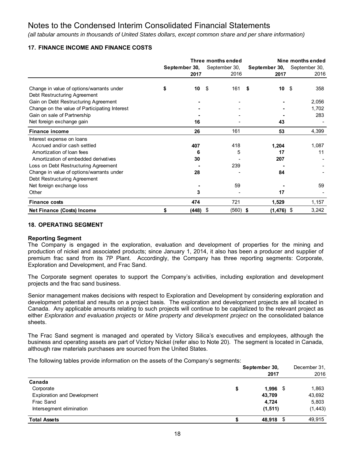*(all tabular amounts in thousands of United States dollars, except common share and per share information)*

### **17. FINANCE INCOME AND FINANCE COSTS**

|                                                                           | Three months ended |               |               |               | Nine months ended |
|---------------------------------------------------------------------------|--------------------|---------------|---------------|---------------|-------------------|
|                                                                           |                    | September 30, | September 30, | September 30, | September 30,     |
|                                                                           |                    | 2017          | 2016          | 2017          | 2016              |
|                                                                           |                    |               |               |               |                   |
| Change in value of options/warrants under<br>Debt Restructuring Agreement | \$                 | 10            | \$<br>161     | \$<br>10      | - \$<br>358       |
| Gain on Debt Restructuring Agreement                                      |                    |               |               |               | 2,056             |
| Change on the value of Participating Interest                             |                    |               |               |               | 1,702             |
| Gain on sale of Partnership                                               |                    |               |               |               | 283               |
| Net foreign exchange gain                                                 |                    | 16            |               | 43            |                   |
| <b>Finance income</b>                                                     |                    | 26            | 161           | 53            | 4,399             |
| Interest expense on loans                                                 |                    |               |               |               |                   |
| Accrued and/or cash settled                                               |                    | 407           | 418           | 1,204         | 1,087             |
| Amortization of loan fees                                                 |                    | 6             | 5             | 17            | 11                |
| Amortization of embedded derivatives                                      |                    | 30            |               | 207           |                   |
| Loss on Debt Restructuring Agreement                                      |                    |               | 239           |               |                   |
| Change in value of options/warrants under                                 |                    | 28            |               | 84            |                   |
| Debt Restructuring Agreement                                              |                    |               |               |               |                   |
| Net foreign exchange loss                                                 |                    |               | 59            |               | 59                |
| Other                                                                     |                    | 3             |               | 17            |                   |
| <b>Finance costs</b>                                                      |                    | 474           | 721           | 1,529         | 1,157             |
| Net Finance (Costs) Income                                                | \$                 | (448) \$      | $(560)$ \$    | $(1, 476)$ \$ | 3,242             |

### **18. OPERATING SEGMENT**

### **Reporting Segment**

The Company is engaged in the exploration, evaluation and development of properties for the mining and production of nickel and associated products; since January 1, 2014, it also has been a producer and supplier of premium frac sand from its 7P Plant. Accordingly, the Company has three reporting segments: Corporate, Exploration and Development, and Frac Sand.

The Corporate segment operates to support the Company's activities, including exploration and development projects and the frac sand business.

Senior management makes decisions with respect to Exploration and Development by considering exploration and development potential and results on a project basis. The exploration and development projects are all located in Canada. Any applicable amounts relating to such projects will continue to be capitalized to the relevant project as either *Exploration and evaluation projects* or *Mine property and development project* on the consolidated balance sheets.

The Frac Sand segment is managed and operated by Victory Silica's executives and employees, although the business and operating assets are part of Victory Nickel (refer also to Note 20). The segment is located in Canada, although raw materials purchases are sourced from the United States.

The following tables provide information on the assets of the Company's segments:

|                                    | September 30,    |          |  |
|------------------------------------|------------------|----------|--|
|                                    | 2017             | 2016     |  |
| Canada                             |                  |          |  |
| Corporate                          | \$<br>$1.996$ \$ | 1,863    |  |
| <b>Exploration and Development</b> | 43,709           | 43,692   |  |
| Frac Sand                          | 4.724            | 5,803    |  |
| Intersegment elimination           | (1, 511)         | (1, 443) |  |
| <b>Total Assets</b>                | 48,918 \$        | 49.915   |  |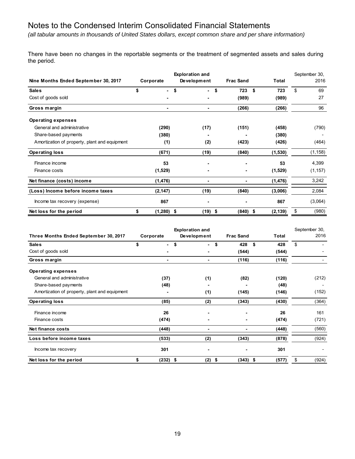*(all tabular amounts in thousands of United States dollars, except common share and per share information)*

There have been no changes in the reportable segments or the treatment of segmented assets and sales during the period.

| Nine Months Ended September 30, 2017          | Corporate          | <b>Exploration and</b><br>Development | <b>Frac Sand</b> | Total            | September 30,<br>2016 |
|-----------------------------------------------|--------------------|---------------------------------------|------------------|------------------|-----------------------|
| <b>Sales</b>                                  | \$<br>$\sim$       | \$                                    | - \$<br>723      | \$<br>723        | \$<br>69              |
| Cost of goods sold                            |                    |                                       | (989)            | (989)            | 27                    |
| Gross margin                                  |                    |                                       | (266)            | (266)            | 96                    |
| <b>Operating expenses</b>                     |                    |                                       |                  |                  |                       |
| General and administrative                    | (290)              | (17)                                  | (151)            | (458)            | (790)                 |
| Share-based payments                          | (380)              |                                       |                  | (380)            |                       |
| Amortization of property, plant and equipment | (1)                | (2)                                   | (423)            | (426)            | (464)                 |
| <b>Operating loss</b>                         | (671)              | (19)                                  | (840)            | (1,530)          | (1, 158)              |
| Finance income                                | 53                 |                                       |                  | 53               | 4,399                 |
| Finance costs                                 | (1,529)            |                                       |                  | (1,529)          | (1, 157)              |
| Net finance (costs) income                    | (1, 476)           |                                       |                  | (1, 476)         | 3,242                 |
| (Loss) Income before income taxes             | (2, 147)           | (19)                                  | (840)            | (3,006)          | 2,084                 |
| Income tax recovery (expense)                 | 867                |                                       |                  | 867              | (3,064)               |
| Net loss for the period                       | \$<br>$(1,280)$ \$ | (19)                                  | (840)<br>-\$     | (2, 139)<br>- \$ | \$<br>(980)           |

|                                               |                      | <b>Exploration and</b> |                  |              | September 30, |
|-----------------------------------------------|----------------------|------------------------|------------------|--------------|---------------|
| Three Months Ended September 30, 2017         | Corporate            | Development            | <b>Frac Sand</b> | <b>Total</b> | 2016          |
| <b>Sales</b>                                  | \$<br>$\blacksquare$ | \$<br>\$<br>$\sim$     | 428              | \$<br>428    | \$            |
| Cost of goods sold                            |                      |                        | (544)            | (544)        |               |
| Gross margin                                  |                      | $\blacksquare$         | (116)            | (116)        |               |
| <b>Operating expenses</b>                     |                      |                        |                  |              |               |
| General and administrative                    | (37)                 | (1)                    | (82)             | (120)        | (212)         |
| Share-based payments                          | (48)                 |                        |                  | (48)         |               |
| Amortization of property, plant and equipment |                      | (1)                    | (145)            | (146)        | (152)         |
| <b>Operating loss</b>                         | (85)                 | (2)                    | (343)            | (430)        | (364)         |
| Finance income                                | 26                   |                        |                  | 26           | 161           |
| Finance costs                                 | (474)                |                        |                  | (474)        | (721)         |
| Net finance costs                             | (448)                |                        |                  | (448)        | (560)         |
| Loss before income taxes                      | (533)                | (2)                    | (343)            | (878)        | (924)         |
| Income tax recovery                           | 301                  |                        | $\blacksquare$   | 301          |               |
| Net loss for the period                       | \$<br>$(232)$ \$     | (2)<br>\$              | $(343)$ \$       | (577)        | \$<br>(924)   |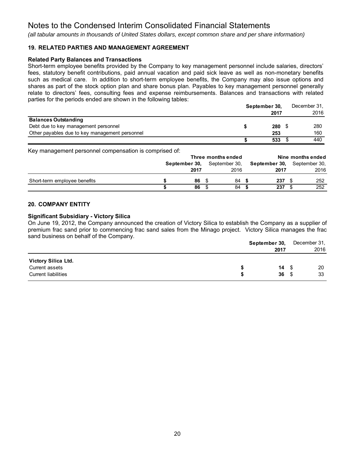*(all tabular amounts in thousands of United States dollars, except common share and per share information)*

### **19. RELATED PARTIES AND MANAGEMENT AGREEMENT**

### **Related Party Balances and Transactions**

Short-term employee benefits provided by the Company to key management personnel include salaries, directors' fees, statutory benefit contributions, paid annual vacation and paid sick leave as well as non-monetary benefits such as medical care. In addition to short-term employee benefits, the Company may also issue options and shares as part of the stock option plan and share bonus plan. Payables to key management personnel generally relate to directors' fees, consulting fees and expense reimbursements. Balances and transactions with related parties for the periods ended are shown in the following tables:

|                                                | September 30, |  | December 31. |
|------------------------------------------------|---------------|--|--------------|
|                                                | 2017          |  | 2016         |
| <b>Balances Outstanding</b>                    |               |  |              |
| Debt due to key management personnel           | 280           |  | 280          |
| Other payables due to key management personnel | 253           |  | 160          |
|                                                | 533           |  | 440          |

Key management personnel compensation is comprised of:

| $\cdots$ , $\cdots$ , $\cdots$ , $\cdots$ , $\cdots$ , $\cdots$ , $\cdots$ , $\cdots$ , $\cdots$ , $\cdots$ , $\cdots$ , $\cdots$ , $\cdots$ , $\cdots$ , $\cdots$ , $\cdots$ , $\cdots$ , $\cdots$ , $\cdots$ , $\cdots$ , $\cdots$ , $\cdots$ , $\cdots$ , $\cdots$ , $\cdots$ , $\cdots$ , $\cdots$ , $\cdots$ , $\cdots$ , $\cdots$ , $\cdots$ , $\cdots$ | Three months ended |               |  | Nine months ended |  |               |  |               |
|---------------------------------------------------------------------------------------------------------------------------------------------------------------------------------------------------------------------------------------------------------------------------------------------------------------------------------------------------------------|--------------------|---------------|--|-------------------|--|---------------|--|---------------|
|                                                                                                                                                                                                                                                                                                                                                               |                    | September 30. |  | September 30,     |  | September 30. |  | September 30. |
|                                                                                                                                                                                                                                                                                                                                                               |                    | 2017          |  | 2016              |  | 2017          |  | 2016          |
| Short-term employee benefits                                                                                                                                                                                                                                                                                                                                  |                    | 86            |  | 84                |  | 237           |  | 252           |
|                                                                                                                                                                                                                                                                                                                                                               |                    | 86            |  | 84                |  | 237           |  | 252           |

### **20. COMPANY ENTITY**

### **Significant Subsidiary - Victory Silica**

On June 19, 2012, the Company announced the creation of Victory Silica to establish the Company as a supplier of premium frac sand prior to commencing frac sand sales from the Minago project. Victory Silica manages the frac sand business on behalf of the Company.

|                            | September 30, |            | December 31, |  |
|----------------------------|---------------|------------|--------------|--|
|                            | 2017          |            | 2016         |  |
| Victory Silica Ltd.        |               |            |              |  |
| Current assets             |               | $14 \quad$ | 20           |  |
| <b>Current liabilities</b> | 36            | - \$       | 33           |  |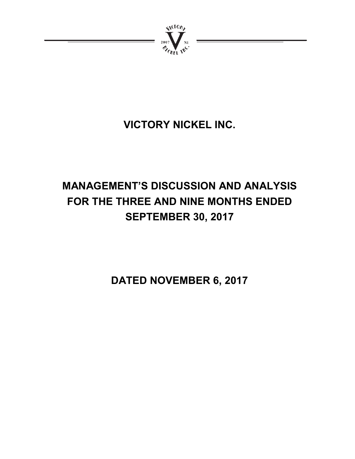

# **VICTORY NICKEL INC.**

# **MANAGEMENT'S DISCUSSION AND ANALYSIS FOR THE THREE AND NINE MONTHS ENDED SEPTEMBER 30, 2017**

**DATED NOVEMBER 6, 2017**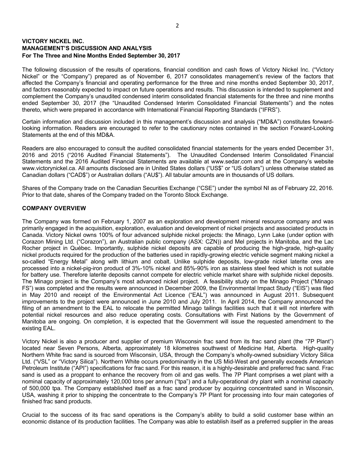### **VICTORY NICKEL INC. MANAGEMENT'S DISCUSSION AND ANALYSIS For The Three and Nine Months Ended September 30, 2017**

The following discussion of the results of operations, financial condition and cash flows of Victory Nickel Inc. ("Victory Nickel" or the "Company") prepared as of November 6, 2017 consolidates management's review of the factors that affected the Company's financial and operating performance for the three and nine months ended September 30, 2017, and factors reasonably expected to impact on future operations and results. This discussion is intended to supplement and complement the Company's unaudited condensed interim consolidated financial statements for the three and nine months ended September 30, 2017 (the "Unaudited Condensed Interim Consolidated Financial Statements") and the notes thereto, which were prepared in accordance with International Financial Reporting Standards ("IFRS").

Certain information and discussion included in this management's discussion and analysis ("MD&A") constitutes forwardlooking information. Readers are encouraged to refer to the cautionary notes contained in the section Forward-Looking Statements at the end of this MD&A.

Readers are also encouraged to consult the audited consolidated financial statements for the years ended December 31, 2016 and 2015 ("2016 Audited Financial Statements"). The Unaudited Condensed Interim Consolidated Financial Statements and the 2016 Audited Financial Statements are available at www.sedar.com and at the Company's website www.victorynickel.ca. All amounts disclosed are in United States dollars ("US\$" or "US dollars") unless otherwise stated as Canadian dollars ("CAD\$") or Australian dollars ("AU\$"). All tabular amounts are in thousands of US dollars.

Shares of the Company trade on the Canadian Securities Exchange ("CSE") under the symbol NI as of February 22, 2016. Prior to that date, shares of the Company traded on the Toronto Stock Exchange.

### **COMPANY OVERVIEW**

The Company was formed on February 1, 2007 as an exploration and development mineral resource company and was primarily engaged in the acquisition, exploration, evaluation and development of nickel projects and associated products in Canada. Victory Nickel owns 100% of four advanced sulphide nickel projects: the Minago, Lynn Lake (under option with Corazon Mining Ltd. ("Corazon"), an Australian public company (ASX: CZN)) and Mel projects in Manitoba, and the Lac Rocher project in Québec. Importantly, sulphide nickel deposits are capable of producing the high-grade, high-quality nickel products required for the production of the batteries used in rapidly-growing electric vehicle segment making nickel a so-called "Energy Metal" along with lithium and cobalt. Unlike sulphide deposits, low-grade nickel laterite ores are processed into a nickel-pig-iron product of 3%-10% nickel and 85%-90% iron as stainless steel feed which is not suitable for battery use. Therefore laterite deposits cannot compete for electric vehicle market share with sulphide nickel deposits. The Minago project is the Company's most advanced nickel project. A feasibility study on the Minago Project ("Minago FS") was completed and the results were announced in December 2009, the Environmental Impact Study ("EIS") was filed in May 2010 and receipt of the Environmental Act Licence ("EAL") was announced in August 2011. Subsequent improvements to the project were announced in June 2010 and July 2011. In April 2014, the Company announced the filing of an amendment to the EAL to relocate the permitted Minago tailings facilities such that it will not interfere with potential nickel resources and also reduce operating costs. Consultations with First Nations by the Government of Manitoba are ongoing. On completion, it is expected that the Government will issue the requested amendment to the existing EAL.

Victory Nickel is also a producer and supplier of premium Wisconsin frac sand from its frac sand plant (the "7P Plant") located near Seven Persons, Alberta, approximately 18 kilometres southwest of Medicine Hat, Alberta. High-quality Northern White frac sand is sourced from Wisconsin, USA, through the Company's wholly-owned subsidiary Victory Silica Ltd. ("VSL" or "Victory Silica"). Northern White occurs predominantly in the US Mid-West and generally exceeds American Petroleum Institute ("API") specifications for frac sand. For this reason, it is a highly-desirable and preferred frac sand. Frac sand is used as a proppant to enhance the recovery from oil and gas wells. The 7P Plant comprises a wet plant with a nominal capacity of approximately 120,000 tons per annum ("tpa") and a fully-operational dry plant with a nominal capacity of 500,000 tpa. The Company established itself as a frac sand producer by acquiring concentrated sand in Wisconsin, USA, washing it prior to shipping the concentrate to the Company's 7P Plant for processing into four main categories of finished frac sand products.

Crucial to the success of its frac sand operations is the Company's ability to build a solid customer base within an economic distance of its production facilities. The Company was able to establish itself as a preferred supplier in the areas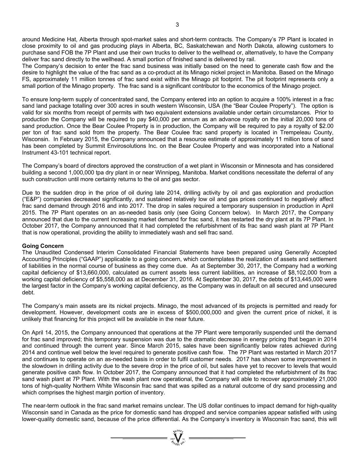around Medicine Hat, Alberta through spot-market sales and short-term contracts. The Company's 7P Plant is located in close proximity to oil and gas producing plays in Alberta, BC, Saskatchewan and North Dakota, allowing customers to purchase sand FOB the 7P Plant and use their own trucks to deliver to the wellhead or, alternatively, to have the Company deliver frac sand directly to the wellhead. A small portion of finished sand is delivered by rail.

The Company's decision to enter the frac sand business was initially based on the need to generate cash flow and the desire to highlight the value of the frac sand as a co-product at its Minago nickel project in Manitoba. Based on the Minago FS, approximately 11 million tonnes of frac sand exist within the Minago pit footprint. The pit footprint represents only a small portion of the Minago property. The frac sand is a significant contributor to the economics of the Minago project.

To ensure long-term supply of concentrated sand, the Company entered into an option to acquire a 100% interest in a frac sand land package totalling over 300 acres in south western Wisconsin, USA (the "Bear Coulee Property"). The option is valid for six months from receipt of permits with two equivalent extensions available under certain circumstances. Prior to production the Company will be required to pay \$40,000 per annum as an advance royalty on the initial 20,000 tons of sand production. Once the Bear Coulee Property is in production, the Company will be required to pay a royalty of \$2.00 per ton of frac sand sold from the property. The Bear Coulee frac sand property is located in Trempeleau County, Wisconsin. In February 2015, the Company announced that a resource estimate of approximately 11 million tons of sand has been completed by Summit Envirosolutions Inc. on the Bear Coulee Property and was incorporated into a National Instrument 43-101 technical report.

The Company's board of directors approved the construction of a wet plant in Wisconsin or Minnesota and has considered building a second 1,000,000 tpa dry plant in or near Winnipeg, Manitoba. Market conditions necessitate the deferral of any such construction until more certainty returns to the oil and gas sector.

Due to the sudden drop in the price of oil during late 2014, drilling activity by oil and gas exploration and production ("E&P") companies decreased significantly, and sustained relatively low oil and gas prices continued to negatively affect frac sand demand through 2016 and into 2017. The drop in sales required a temporary suspension in production in April 2015. The 7P Plant operates on an as-needed basis only (see Going Concern below). In March 2017, the Company announced that due to the current increasing market demand for frac sand, it has restarted the dry plant at its 7P Plant. In October 2017, the Company announced that it had completed the refurbishment of its frac sand wash plant at 7P Plant that is now operational, providing the ability to immediately wash and sell frac sand.

### **Going Concern**

The Unaudited Condensed Interim Consolidated Financial Statements have been prepared using Generally Accepted Accounting Principles ("GAAP") applicable to a going concern, which contemplates the realization of assets and settlement of liabilities in the normal course of business as they come due. As at September 30, 2017, the Company had a working capital deficiency of \$13,660,000, calculated as current assets less current liabilities, an increase of \$8,102,000 from a working capital deficiency of \$5,558,000 as at December 31, 2016. At September 30, 2017, the debts of \$13,445,000 were the largest factor in the Company's working capital deficiency, as the Company was in default on all secured and unsecured debt.

The Company's main assets are its nickel projects. Minago, the most advanced of its projects is permitted and ready for development. However, development costs are in excess of \$500,000,000 and given the current price of nickel, it is unlikely that financing for this project will be available in the near future.

On April 14, 2015, the Company announced that operations at the 7P Plant were temporarily suspended until the demand for frac sand improved; this temporary suspension was due to the dramatic decrease in energy pricing that began in 2014 and continued through the current year. Since March 2015, sales have been significantly below rates achieved during 2014 and continue well below the level required to generate positive cash flow. The 7P Plant was restarted in March 2017 and continues to operate on an as-needed basis in order to fulfil customer needs. 2017 has shown some improvement in the slowdown in drilling activity due to the severe drop in the price of oil, but sales have yet to recover to levels that would generate positive cash flow. In October 2017, the Company announced that it had completed the refurbishment of its frac sand wash plant at 7P Plant. With the wash plant now operational, the Company will able to recover approximately 21,000 tons of high-quality Northern White Wisconsin frac sand that was spilled as a natural outcome of dry sand processing and which comprises the highest margin portion of inventory.

The near-term outlook in the frac sand market remains unclear. The US dollar continues to impact demand for high-quality Wisconsin sand in Canada as the price for domestic sand has dropped and service companies appear satisfied with using lower-quality domestic sand, because of the price differential. As the Company's inventory is Wisconsin frac sand, this will

 $=\sum_{\substack{m=1\\ \text{odd }n}}^{\infty}$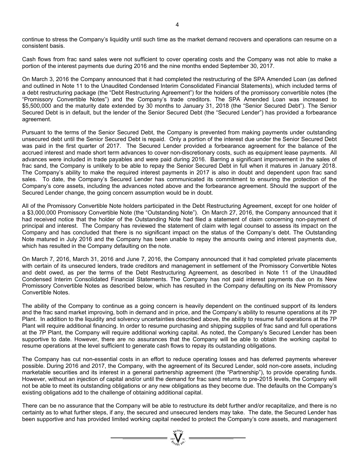continue to stress the Company's liquidity until such time as the market demand recovers and operations can resume on a consistent basis.

Cash flows from frac sand sales were not sufficient to cover operating costs and the Company was not able to make a portion of the interest payments due during 2016 and the nine months ended September 30, 2017.

On March 3, 2016 the Company announced that it had completed the restructuring of the SPA Amended Loan (as defined and outlined in Note 11 to the Unaudited Condensed Interim Consolidated Financial Statements), which included terms of a debt restructuring package (the "Debt Restructuring Agreement") for the holders of the promissory convertible notes (the "Promissory Convertible Notes") and the Company's trade creditors. The SPA Amended Loan was increased to \$5,500,000 and the maturity date extended by 30 months to January 31, 2018 (the "Senior Secured Debt"). The Senior Secured Debt is in default, but the lender of the Senior Secured Debt (the "Secured Lender") has provided a forbearance agreement.

Pursuant to the terms of the Senior Secured Debt, the Company is prevented from making payments under outstanding unsecured debt until the Senior Secured Debt is repaid. Only a portion of the interest due under the Senior Secured Debt was paid in the first quarter of 2017. The Secured Lender provided a forbearance agreement for the balance of the accrued interest and made short term advances to cover non-discretionary costs, such as equipment lease payments. All advances were included in trade payables and were paid during 2016. Barring a significant improvement in the sales of frac sand, the Company is unlikely to be able to repay the Senior Secured Debt in full when it matures in January 2018. The Company's ability to make the required interest payments in 2017 is also in doubt and dependent upon frac sand sales. To date, the Company's Secured Lender has communicated its commitment to ensuring the protection of the Company's core assets, including the advances noted above and the forbearance agreement. Should the support of the Secured Lender change, the going concern assumption would be in doubt.

All of the Promissory Convertible Note holders participated in the Debt Restructuring Agreement, except for one holder of a \$3,000,000 Promissory Convertible Note (the "Outstanding Note"). On March 27, 2016, the Company announced that it had received notice that the holder of the Outstanding Note had filed a statement of claim concerning non-payment of principal and interest. The Company has reviewed the statement of claim with legal counsel to assess its impact on the Company and has concluded that there is no significant impact on the status of the Company's debt. The Outstanding Note matured in July 2016 and the Company has been unable to repay the amounts owing and interest payments due, which has resulted in the Company defaulting on the note.

On March 7, 2016, March 31, 2016 and June 7, 2016, the Company announced that it had completed private placements with certain of its unsecured lenders, trade creditors and management in settlement of the Promissory Convertible Notes and debt owed, as per the terms of the Debt Restructuring Agreement, as described in Note 11 of the Unaudited Condensed Interim Consolidated Financial Statements. The Company has not paid interest payments due on its New Promissory Convertible Notes as described below, which has resulted in the Company defaulting on its New Promissory Convertible Notes.

The ability of the Company to continue as a going concern is heavily dependent on the continued support of its lenders and the frac sand market improving, both in demand and in price, and the Company's ability to resume operations at its 7P Plant. In addition to the liquidity and solvency uncertainties described above, the ability to resume full operations at the 7P Plant will require additional financing. In order to resume purchasing and shipping supplies of frac sand and full operations at the 7P Plant, the Company will require additional working capital. As noted, the Company's Secured Lender has been supportive to date. However, there are no assurances that the Company will be able to obtain the working capital to resume operations at the level sufficient to generate cash flows to repay its outstanding obligations.

The Company has cut non-essential costs in an effort to reduce operating losses and has deferred payments wherever possible. During 2016 and 2017, the Company, with the agreement of its Secured Lender, sold non-core assets, including marketable securities and its interest in a general partnership agreement (the "Partnership"), to provide operating funds. However, without an injection of capital and/or until the demand for frac sand returns to pre-2015 levels, the Company will not be able to meet its outstanding obligations or any new obligations as they become due. The defaults on the Company's existing obligations add to the challenge of obtaining additional capital.

There can be no assurance that the Company will be able to restructure its debt further and/or recapitalize, and there is no certainty as to what further steps, if any, the secured and unsecured lenders may take. The date, the Secured Lender has been supportive and has provided limited working capital needed to protect the Company's core assets, and management

 $=\prod_{\substack{\text{20000}\text{N}\\\text{20000}}}\prod_{\substack{\text{N}\\\text{N}\\\text{N}\\\text{N}}}=\blacksquare$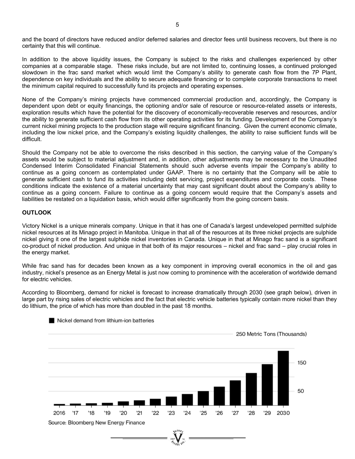and the board of directors have reduced and/or deferred salaries and director fees until business recovers, but there is no certainty that this will continue.

In addition to the above liquidity issues, the Company is subject to the risks and challenges experienced by other companies at a comparable stage. These risks include, but are not limited to, continuing losses, a continued prolonged slowdown in the frac sand market which would limit the Company's ability to generate cash flow from the 7P Plant, dependence on key individuals and the ability to secure adequate financing or to complete corporate transactions to meet the minimum capital required to successfully fund its projects and operating expenses.

None of the Company's mining projects have commenced commercial production and, accordingly, the Company is dependent upon debt or equity financings, the optioning and/or sale of resource or resource-related assets or interests, exploration results which have the potential for the discovery of economically-recoverable reserves and resources, and/or the ability to generate sufficient cash flow from its other operating activities for its funding. Development of the Company's current nickel mining projects to the production stage will require significant financing. Given the current economic climate, including the low nickel price, and the Company's existing liquidity challenges, the ability to raise sufficient funds will be difficult.

Should the Company not be able to overcome the risks described in this section, the carrying value of the Company's assets would be subject to material adjustment and, in addition, other adjustments may be necessary to the Unaudited Condensed Interim Consolidated Financial Statements should such adverse events impair the Company's ability to continue as a going concern as contemplated under GAAP. There is no certainty that the Company will be able to generate sufficient cash to fund its activities including debt servicing, project expenditures and corporate costs. These conditions indicate the existence of a material uncertainty that may cast significant doubt about the Company's ability to continue as a going concern. Failure to continue as a going concern would require that the Company's assets and liabilities be restated on a liquidation basis, which would differ significantly from the going concern basis.

### **OUTLOOK**

Victory Nickel is a unique minerals company. Unique in that it has one of Canada's largest undeveloped permitted sulphide nickel resources at its Minago project in Manitoba. Unique in that all of the resources at its three nickel projects are sulphide nickel giving it one of the largest sulphide nickel inventories in Canada. Unique in that at Minago frac sand is a significant co-product of nickel production. And unique in that both of its major resources – nickel and frac sand – play crucial roles in the energy market.

While frac sand has for decades been known as a key component in improving overall economics in the oil and gas industry, nickel's presence as an Energy Metal is just now coming to prominence with the acceleration of worldwide demand for electric vehicles.

According to Bloomberg, demand for nickel is forecast to increase dramatically through 2030 (see graph below), driven in large part by rising sales of electric vehicles and the fact that electric vehicle batteries typically contain more nickel than they do lithium, the price of which has more than doubled in the past 18 months.



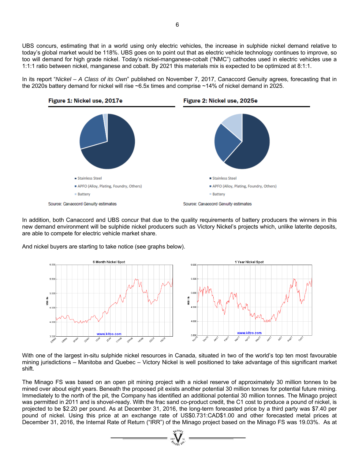UBS concurs, estimating that in a world using only electric vehicles, the increase in sulphide nickel demand relative to today's global market would be 118%. UBS goes on to point out that as electric vehicle technology continues to improve, so too will demand for high grade nickel. Today's nickel-manganese-cobalt ("NMC") cathodes used in electric vehicles use a 1:1:1 ratio between nickel, manganese and cobalt. By 2021 this materials mix is expected to be optimized at 8:1:1.

In its report "*Nickel – A Class of its Own*" published on November 7, 2017, Canaccord Genuity agrees, forecasting that in the 2020s battery demand for nickel will rise ~6.5x times and comprise ~14% of nickel demand in 2025.



In addition, both Canaccord and UBS concur that due to the quality requirements of battery producers the winners in this new demand environment will be sulphide nickel producers such as Victory Nickel's projects which, unlike laterite deposits, are able to compete for electric vehicle market share.

And nickel buyers are starting to take notice (see graphs below).



With one of the largest in-situ sulphide nickel resources in Canada, situated in two of the world's top ten most favourable mining jurisdictions – Manitoba and Quebec – Victory Nickel is well positioned to take advantage of this significant market shift.

The Minago FS was based on an open pit mining project with a nickel reserve of approximately 30 million tonnes to be mined over about eight years. Beneath the proposed pit exists another potential 30 million tonnes for potential future mining. Immediately to the north of the pit, the Company has identified an additional potential 30 million tonnes. The Minago project was permitted in 2011 and is shovel-ready. With the frac sand co-product credit, the C1 cost to produce a pound of nickel, is projected to be \$2.20 per pound. As at December 31, 2016, the long-term forecasted price by a third party was \$7.40 per pound of nickel. Using this price at an exchange rate of US\$0.731:CAD\$1.00 and other forecasted metal prices at December 31, 2016, the Internal Rate of Return ("IRR") of the Minago project based on the Minago FS was 19.03%. As at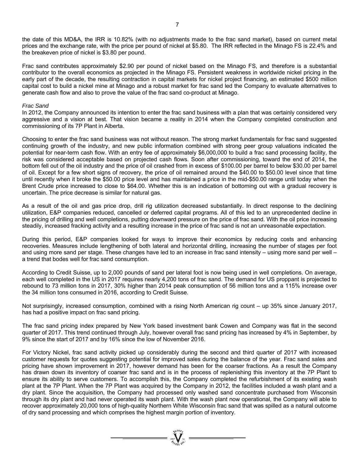the date of this MD&A, the IRR is 10.82% (with no adjustments made to the frac sand market), based on current metal prices and the exchange rate, with the price per pound of nickel at \$5.80. The IRR reflected in the Minago FS is 22.4% and the breakeven price of nickel is \$3.80 per pound.

Frac sand contributes approximately \$2.90 per pound of nickel based on the Minago FS, and therefore is a substantial contributor to the overall economics as projected in the Minago FS. Persistent weakness in worldwide nickel pricing in the early part of the decade, the resulting contraction in capital markets for nickel project financing, an estimated \$500 million capital cost to build a nickel mine at Minago and a robust market for frac sand led the Company to evaluate alternatives to generate cash flow and also to prove the value of the frac sand co-product at Minago.

### *Frac Sand*

In 2012, the Company announced its intention to enter the frac sand business with a plan that was certainly considered very aggressive and a vision at best. That vision became a reality in 2014 when the Company completed construction and commissioning of its 7P Plant in Alberta.

Choosing to enter the frac sand business was not without reason. The strong market fundamentals for frac sand suggested continuing growth of the industry, and new public information combined with strong peer group valuations indicated the potential for near-term cash flow. With an entry fee of approximately \$6,000,000 to build a frac sand processing facility, the risk was considered acceptable based on projected cash flows. Soon after commissioning, toward the end of 2014, the bottom fell out of the oil industry and the price of oil crashed from in excess of \$100.00 per barrel to below \$30.00 per barrel of oil. Except for a few short signs of recovery, the price of oil remained around the \$40.00 to \$50.00 level since that time until recently when it broke the \$50.00 price level and has maintained a price in the mid-\$50.00 range until today when the Brent Crude price increased to close to \$64.00. Whether this is an indication of bottoming out with a gradual recovery is uncertain. The price decrease is similar for natural gas.

As a result of the oil and gas price drop, drill rig utilization decreased substantially. In direct response to the declining utilization, E&P companies reduced, cancelled or deferred capital programs. All of this led to an unprecedented decline in the pricing of drilling and well completions, putting downward pressure on the price of frac sand. With the oil price increasing steadily, increased fracking activity and a resulting increase in the price of frac sand is not an unreasonable expectation.

During this period, E&P companies looked for ways to improve their economics by reducing costs and enhancing recoveries. Measures include lengthening of both lateral and horizontal drilling, increasing the number of stages per foot and using more sand per stage. These changes have led to an increase in frac sand intensity – using more sand per well – a trend that bodes well for frac sand consumption.

According to Credit Suisse, up to 2,000 pounds of sand per lateral foot is now being used in well completions. On average, each well completed in the US in 2017 requires nearly 4,200 tons of frac sand. The demand for US proppant is projected to rebound to 73 million tons in 2017, 30% higher than 2014 peak consumption of 56 million tons and a 115% increase over the 34 million tons consumed in 2016, according to Credit Suisse.

Not surprisingly, increased consumption, combined with a rising North American rig count – up 35% since January 2017, has had a positive impact on frac sand pricing.

The frac sand pricing index prepared by New York based investment bank Cowen and Company was flat in the second quarter of 2017. This trend continued through July, however overall frac sand pricing has increased by 4% in September, by 9% since the start of 2017 and by 16% since the low of November 2016.

For Victory Nickel, frac sand activity picked up considerably during the second and third quarter of 2017 with increased customer requests for quotes suggesting potential for improved sales during the balance of the year. Frac sand sales and pricing have shown improvement in 2017, however demand has been for the coarser fractions. As a result the Company has drawn down its inventory of coarser frac sand and is in the process of replenishing this inventory at the 7P Plant to ensure its ability to serve customers. To accomplish this, the Company completed the refurbishment of its existing wash plant at the 7P Plant. When the 7P Plant was acquired by the Company in 2012, the facilities included a wash plant and a dry plant. Since the acquisition, the Company had processed only washed sand concentrate purchased from Wisconsin through its dry plant and had never operated its wash plant. With the wash plant now operational, the Company will able to recover approximately 20,000 tons of high-quality Northern White Wisconsin frac sand that was spilled as a natural outcome of dry sand processing and which comprises the highest margin portion of inventory.

 $\sum_{i=1}^{N} \sum_{i=1}^{N}$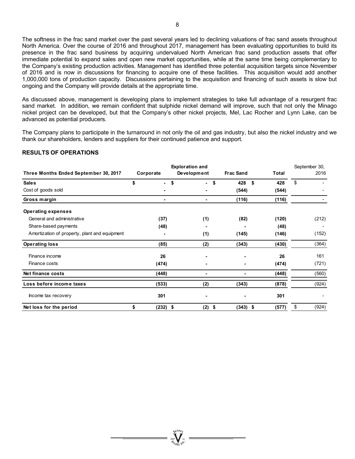The softness in the frac sand market over the past several years led to declining valuations of frac sand assets throughout North America. Over the course of 2016 and throughout 2017, management has been evaluating opportunities to build its presence in the frac sand business by acquiring undervalued North American frac sand production assets that offer immediate potential to expand sales and open new market opportunities, while at the same time being complementary to the Company's existing production activities. Management has identified three potential acquisition targets since November of 2016 and is now in discussions for financing to acquire one of these facilities. This acquisition would add another 1,000,000 tons of production capacity. Discussions pertaining to the acquisition and financing of such assets is slow but ongoing and the Company will provide details at the appropriate time.

As discussed above, management is developing plans to implement strategies to take full advantage of a resurgent frac sand market. In addition, we remain confident that sulphide nickel demand will improve, such that not only the Minago nickel project can be developed, but that the Company's other nickel projects, Mel, Lac Rocher and Lynn Lake, can be advanced as potential producers.

The Company plans to participate in the turnaround in not only the oil and gas industry, but also the nickel industry and we thank our shareholders, lenders and suppliers for their continued patience and support.

### **RESULTS OF OPERATIONS**

|                                               |                  | <b>Exploration and</b> |                  | September 30, |             |
|-----------------------------------------------|------------------|------------------------|------------------|---------------|-------------|
| Three Months Ended September 30, 2017         | Corporate        | Development            | <b>Frac Sand</b> | <b>Total</b>  | 2016        |
| <b>Sales</b>                                  | \$<br>۰.         | \$<br>$\sim$           | 428<br>\$        | \$<br>428     | \$          |
| Cost of goods sold                            |                  |                        | (544)            | (544)         |             |
| Gross margin                                  |                  | ٠                      | (116)            | (116)         |             |
| <b>Operating expenses</b>                     |                  |                        |                  |               |             |
| General and administrative                    | (37)             | (1)                    | (82)             | (120)         | (212)       |
| Share-based payments                          | (48)             |                        |                  | (48)          |             |
| Amortization of property, plant and equipment |                  | (1)                    | (145)            | (146)         | (152)       |
| <b>Operating loss</b>                         | (85)             | (2)                    | (343)            | (430)         | (364)       |
| Finance income                                | 26               |                        | ۰                | 26            | 161         |
| Finance costs                                 | (474)            |                        |                  | (474)         | (721)       |
| <b>Net finance costs</b>                      | (448)            |                        |                  | (448)         | (560)       |
| Loss before income taxes                      | (533)            | (2)                    | (343)            | (878)         | (924)       |
| Income tax recovery                           | 301              |                        |                  | 301           |             |
| Net loss for the period                       | \$<br>$(232)$ \$ | (2)                    | \$<br>$(343)$ \$ | (577)         | \$<br>(924) |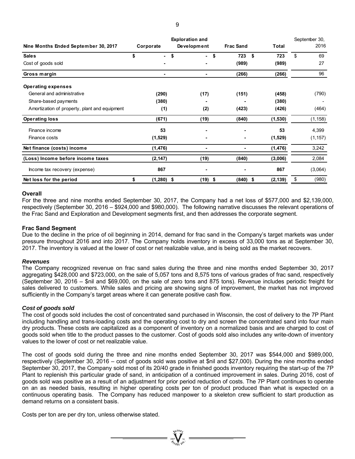|                                               |                    | <b>Exploration and</b> |                  | September 30,  |             |
|-----------------------------------------------|--------------------|------------------------|------------------|----------------|-------------|
| Nine Months Ended September 30, 2017          | Corporate          | Development            | <b>Frac Sand</b> | <b>Total</b>   | 2016        |
| <b>Sales</b>                                  | \$<br>۰.           | \$<br>$\sim$           | 723<br>\$        | \$<br>723      | \$<br>69    |
| Cost of goods sold                            |                    |                        | (989)            | (989)          | 27          |
| Gross margin                                  |                    |                        | (266)            | (266)          | 96          |
| <b>Operating expenses</b>                     |                    |                        |                  |                |             |
| General and administrative                    | (290)              | (17)                   | (151)            | (458)          | (790)       |
| Share-based payments                          | (380)              |                        |                  | (380)          |             |
| Amortization of property, plant and equipment | (1)                | (2)                    | (423)            | (426)          | (464)       |
| <b>Operating loss</b>                         | (671)              | (19)                   | (840)            | (1,530)        | (1, 158)    |
| Finance income                                | 53                 |                        |                  | 53             | 4,399       |
| Finance costs                                 | (1,529)            |                        |                  | (1,529)        | (1, 157)    |
| Net finance (costs) income                    | (1, 476)           |                        |                  | (1, 476)       | 3,242       |
| (Loss) Income before income taxes             | (2, 147)           | (19)                   | (840)            | (3,006)        | 2,084       |
| Income tax recovery (expense)                 | 867                |                        |                  | 867            | (3,064)     |
| Net loss for the period                       | \$<br>$(1,280)$ \$ | (19)                   | \$<br>(840)      | \$<br>(2, 139) | \$<br>(980) |

### **Overall**

For the three and nine months ended September 30, 2017, the Company had a net loss of \$577,000 and \$2,139,000, respectively (September 30, 2016 – \$924,000 and \$980,000). The following narrative discusses the relevant operations of the Frac Sand and Exploration and Development segments first, and then addresses the corporate segment.

### **Frac Sand Segment**

Due to the decline in the price of oil beginning in 2014, demand for frac sand in the Company's target markets was under pressure throughout 2016 and into 2017. The Company holds inventory in excess of 33,000 tons as at September 30, 2017. The inventory is valued at the lower of cost or net realizable value, and is being sold as the market recovers.

### *Revenues*

The Company recognized revenue on frac sand sales during the three and nine months ended September 30, 2017 aggregating \$428,000 and \$723,000, on the sale of 5,057 tons and 8,575 tons of various grades of frac sand, respectively (September 30, 2016 – \$nil and \$69,000, on the sale of zero tons and 875 tons). Revenue includes periodic freight for sales delivered to customers. While sales and pricing are showing signs of improvement, the market has not improved sufficiently in the Company's target areas where it can generate positive cash flow.

### *Cost of goods sold*

The cost of goods sold includes the cost of concentrated sand purchased in Wisconsin, the cost of delivery to the 7P Plant including handling and trans-loading costs and the operating cost to dry and screen the concentrated sand into four main dry products. These costs are capitalized as a component of inventory on a normalized basis and are charged to cost of goods sold when title to the product passes to the customer. Cost of goods sold also includes any write-down of inventory values to the lower of cost or net realizable value.

The cost of goods sold during the three and nine months ended September 30, 2017 was \$544,000 and \$989,000, respectively (September 30, 2016 – cost of goods sold was positive at \$nil and \$27,000). During the nine months ended September 30, 2017, the Company sold most of its 20/40 grade in finished goods inventory requiring the start-up of the 7P Plant to replenish this particular grade of sand, in anticipation of a continued improvement in sales. During 2016, cost of goods sold was positive as a result of an adjustment for prior period reduction of costs. The 7P Plant continues to operate on an as needed basis, resulting in higher operating costs per ton of product produced than what is expected on a continuous operating basis. The Company has reduced manpower to a skeleton crew sufficient to start production as demand returns on a consistent basis.

Costs per ton are per dry ton, unless otherwise stated.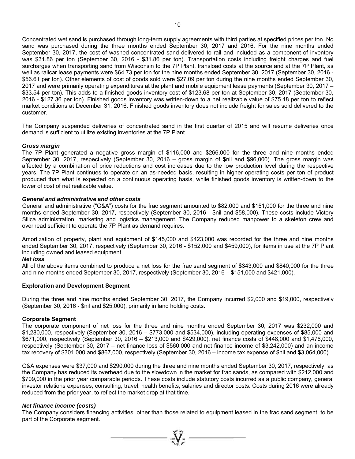Concentrated wet sand is purchased through long-term supply agreements with third parties at specified prices per ton. No sand was purchased during the three months ended September 30, 2017 and 2016. For the nine months ended September 30, 2017, the cost of washed concentrated sand delivered to rail and included as a component of inventory was \$31.86 per ton (September 30, 2016 - \$31.86 per ton). Transportation costs including freight charges and fuel surcharges when transporting sand from Wisconsin to the 7P Plant, transload costs at the source and at the 7P Plant, as well as railcar lease payments were \$64.73 per ton for the nine months ended September 30, 2017 (September 30, 2016 - \$56.61 per ton). Other elements of cost of goods sold were \$27.09 per ton during the nine months ended September 30, 2017 and were primarily operating expenditures at the plant and mobile equipment lease payments (September 30, 2017 – \$33.54 per ton). This adds to a finished goods inventory cost of \$123.68 per ton at September 30, 2017 (September 30, 2016 - \$127.36 per ton). Finished goods inventory was written-down to a net realizable value of \$75.48 per ton to reflect market conditions at December 31, 2016. Finished goods inventory does not include freight for sales sold delivered to the customer.

The Company suspended deliveries of concentrated sand in the first quarter of 2015 and will resume deliveries once demand is sufficient to utilize existing inventories at the 7P Plant.

### *Gross margin*

The 7P Plant generated a negative gross margin of \$116,000 and \$266,000 for the three and nine months ended September 30, 2017, respectively (September 30, 2016 – gross margin of \$nil and \$96,000). The gross margin was affected by a combination of price reductions and cost increases due to the low production level during the respective years. The 7P Plant continues to operate on an as-needed basis, resulting in higher operating costs per ton of product produced than what is expected on a continuous operating basis, while finished goods inventory is written-down to the lower of cost of net realizable value.

### *General and administrative and other costs*

General and administrative ("G&A") costs for the frac segment amounted to \$82,000 and \$151,000 for the three and nine months ended September 30, 2017, respectively (September 30, 2016 - \$nil and \$58,000). These costs include Victory Silica administration, marketing and logistics management. The Company reduced manpower to a skeleton crew and overhead sufficient to operate the 7P Plant as demand requires.

Amortization of property, plant and equipment of \$145,000 and \$423,000 was recorded for the three and nine months ended September 30, 2017, respectively (September 30, 2016 - \$152,000 and \$459,000), for items in use at the 7P Plant including owned and leased equipment.

### *Net loss*

All of the above items combined to produce a net loss for the frac sand segment of \$343,000 and \$840,000 for the three and nine months ended September 30, 2017, respectively (September 30, 2016 – \$151,000 and \$421,000).

### **Exploration and Development Segment**

During the three and nine months ended September 30, 2017, the Company incurred \$2,000 and \$19,000, respectively (September 30, 2016 - \$nil and \$25,000), primarily in land holding costs.

### **Corporate Segment**

The corporate component of net loss for the three and nine months ended September 30, 2017 was \$232,000 and \$1,280,000, respectively (September 30, 2016 – \$773,000 and \$534,000), including operating expenses of \$85,000 and \$671,000, respectively (September 30, 2016 – \$213,000 and \$429,000), net finance costs of \$448,000 and \$1,476,000, respectively (September 30, 2017 – net finance loss of \$560,000 and net finance income of \$3,242,000) and an income tax recovery of \$301,000 and \$867,000, respectively (September 30, 2016 – income tax expense of \$nil and \$3,064,000).

G&A expenses were \$37,000 and \$290,000 during the three and nine months ended September 30, 2017, respectively, as the Company has reduced its overhead due to the slowdown in the market for frac sands, as compared with \$212,000 and \$709,000 in the prior year comparable periods. These costs include statutory costs incurred as a public company, general investor relations expenses, consulting, travel, health benefits, salaries and director costs. Costs during 2016 were already reduced from the prior year, to reflect the market drop at that time.

### *Net finance income (costs)*

The Company considers financing activities, other than those related to equipment leased in the frac sand segment, to be part of the Corporate segment.

 $\sum_{n=1}^{\infty} \sum_{n=1}^{\infty}$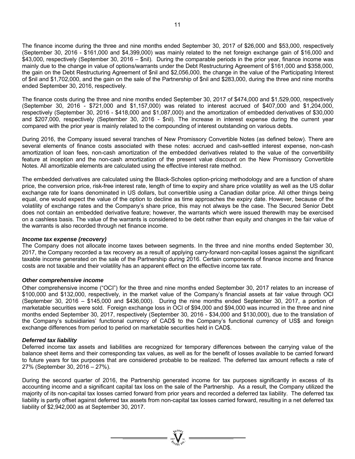The finance income during the three and nine months ended September 30, 2017 of \$26,000 and \$53,000, respectively (September 30, 2016 - \$161,000 and \$4,399,000) was mainly related to the net foreign exchange gain of \$16,000 and \$43,000, respectively (September 30, 2016 – \$nil). During the comparable periods in the prior year, finance income was mainly due to the change in value of options/warrants under the Debt Restructuring Agreement of \$161,000 and \$358,000, the gain on the Debt Restructuring Agreement of \$nil and \$2,056,000, the change in the value of the Participating Interest of \$nil and \$1,702,000, and the gain on the sale of the Partnership of \$nil and \$283,000, during the three and nine months ended September 30, 2016, respectively.

The finance costs during the three and nine months ended September 30, 2017 of \$474,000 and \$1,529,000, respectively (September 30, 2016 - \$721,000 and \$1,157,000) was related to interest accrued of \$407,000 and \$1,204,000, respectively (September 30, 2016 - \$418,000 and \$1,087,000) and the amortization of embedded derivatives of \$30,000 and \$207,000, respectively (September 30, 2016 - \$nil). The increase in interest expense during the current year compared with the prior year is mainly related to the compounding of interest outstanding on various debts.

During 2016, the Company issued several tranches of New Promissory Convertible Notes (as defined below). There are several elements of finance costs associated with these notes: accrued and cash-settled interest expense, non-cash amortization of loan fees, non-cash amortization of the embedded derivatives related to the value of the convertibility feature at inception and the non-cash amortization of the present value discount on the New Promissory Convertible Notes. All amortizable elements are calculated using the effective interest rate method.

The embedded derivatives are calculated using the Black-Scholes option-pricing methodology and are a function of share price, the conversion price, risk-free interest rate, length of time to expiry and share price volatility as well as the US dollar exchange rate for loans denominated in US dollars, but convertible using a Canadian dollar price. All other things being equal, one would expect the value of the option to decline as time approaches the expiry date. However, because of the volatility of exchange rates and the Company's share price, this may not always be the case. The Secured Senior Debt does not contain an embedded derivative feature; however, the warrants which were issued therewith may be exercised on a cashless basis. The value of the warrants is considered to be debt rather than equity and changes in the fair value of the warrants is also recorded through net finance income.

### *Income tax expense (recovery)*

The Company does not allocate income taxes between segments. In the three and nine months ended September 30, 2017, the Company recorded a tax recovery as a result of applying carry-forward non-capital losses against the significant taxable income generated on the sale of the Partnership during 2016. Certain components of finance income and finance costs are not taxable and their volatility has an apparent effect on the effective income tax rate.

### *Other comprehensive income*

Other comprehensive income ("OCI") for the three and nine months ended September 30, 2017 relates to an increase of \$100,000 and \$132,000, respectively, in the market value of the Company's financial assets at fair value through OCI (September 30, 2016 – \$145,000 and \$436,000). During the nine months ended September 30, 2017, a portion of marketable securities were sold. Foreign exchange loss in OCI of \$94,000 and \$94,000 was incurred in the three and nine months ended September 30, 2017, respectively (September 30, 2016 - \$34,000 and \$130,000), due to the translation of the Company's subsidiaries' functional currency of CAD\$ to the Company's functional currency of US\$ and foreign exchange differences from period to period on marketable securities held in CAD\$.

### *Deferred tax liability*

Deferred income tax assets and liabilities are recognized for temporary differences between the carrying value of the balance sheet items and their corresponding tax values, as well as for the benefit of losses available to be carried forward to future years for tax purposes that are considered probable to be realized. The deferred tax amount reflects a rate of 27% (September 30, 2016 – 27%).

During the second quarter of 2016, the Partnership generated income for tax purposes significantly in excess of its accounting income and a significant capital tax loss on the sale of the Partnership. As a result, the Company utilized the majority of its non-capital tax losses carried forward from prior years and recorded a deferred tax liability. The deferred tax liability is partly offset against deferred tax assets from non-capital tax losses carried forward, resulting in a net deferred tax liability of \$2,942,000 as at September 30, 2017.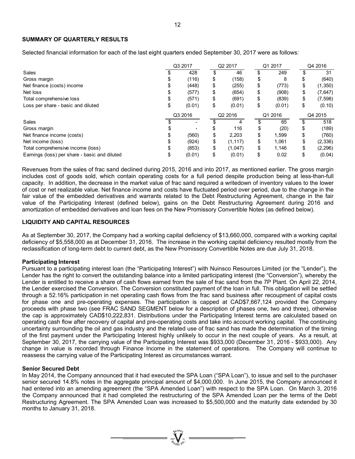### **SUMMARY OF QUARTERLY RESULTS**

Selected financial information for each of the last eight quarters ended September 30, 2017 were as follows:

|                                               | Q3 2017 | Q2 2017        | Q1 2017      | Q4 2016        |
|-----------------------------------------------|---------|----------------|--------------|----------------|
| <b>Sales</b>                                  | 428     | 46             | \$<br>249    | 31             |
| Gross margin                                  | (116)   | \$<br>(158)    | \$<br>8      | (640)          |
| Net finance (costs) income                    | (448)   | \$<br>(255)    | \$<br>(773)  | \$<br>(1,350)  |
| Net loss                                      | (577)   | \$<br>(654)    | \$<br>(908)  | \$<br>(7,647)  |
| Total comprehensive loss                      | (571)   | \$<br>(691)    | \$<br>(839)  | \$<br>(7, 598) |
| Loss per share - basic and diluted            | (0.01)  | \$<br>(0.01)   | \$<br>(0.01) | \$<br>(0.10)   |
|                                               | Q3 2016 | Q2 2016        | Q1 2016      | Q4 2015        |
| Sales                                         |         |                | 65           | 518            |
| Gross margin                                  |         | 116            | \$<br>(20)   | \$<br>(189)    |
| Net finance income (costs)                    | (560)   | \$<br>2,203    | \$<br>1,599  | (760)          |
| Net income (loss)                             | (924)   | \$<br>(1, 117) | \$<br>1.061  | (2, 336)       |
| Total comprehensive income (loss)             | (853)   | \$<br>(1,047)  | \$<br>1,146  | (2, 296)       |
| Earnings (loss) per share - basic and diluted | (0.01)  | (0.01)         | \$<br>0.02   | (0.04)         |

Revenues from the sales of frac sand declined during 2015, 2016 and into 2017, as mentioned earlier. The gross margin includes cost of goods sold, which contain operating costs for a full period despite production being at less-than-full capacity. In addition, the decrease in the market value of frac sand required a writedown of inventory values to the lower of cost or net realizable value. Net finance income and costs have fluctuated period over period, due to the change in the fair value of the embedded derivatives and warrants related to the Debt Restructuring Agreement, change in the fair value of the Participating Interest (defined below), gains on the Debt Restructuring Agreement during 2016 and amortization of embedded derivatives and loan fees on the New Promissory Convertible Notes (as defined below).

### **LIQUIDITY AND CAPITAL RESOURCES**

As at September 30, 2017, the Company had a working capital deficiency of \$13,660,000, compared with a working capital deficiency of \$5,558,000 as at December 31, 2016. The increase in the working capital deficiency resulted mostly from the reclassification of long-term debt to current debt, as the New Promissory Convertible Notes are due July 31, 2018.

### **Participating Interest**

Pursuant to a participating interest loan (the "Participating Interest") with Nuinsco Resources Limited (or the "Lender"), the Lender has the right to convert the outstanding balance into a limited participating interest (the "Conversion"), whereby the Lender is entitled to receive a share of cash flows earned from the sale of frac sand from the 7P Plant. On April 22, 2014, the Lender exercised the Conversion. The Conversion constituted payment of the loan in full. This obligation will be settled through a 52.16% participation in net operating cash flows from the frac sand business after recoupment of capital costs for phase one and pre-operating expenses. The participation is capped at CAD\$7,667,124 provided the Company proceeds with phase two (see FRAC SAND SEGMENT below for a description of phases one, two and three), otherwise the cap is approximately CAD\$10,222,831. Distributions under the Participating Interest terms are calculated based on operating cash flow after recovery of capital and pre-operating costs and take into account working capital. The continuing uncertainty surrounding the oil and gas industry and the related use of frac sand has made the determination of the timing of the first payment under the Participating Interest highly unlikely to occur in the next couple of years. As a result, at September 30, 2017, the carrying value of the Participating Interest was \$933,000 (December 31, 2016 - \$933,000). Any change in value is recorded through Finance Income in the statement of operations. The Company will continue to reassess the carrying value of the Participating Interest as circumstances warrant.

### **Senior Secured Debt**

In May 2014, the Company announced that it had executed the SPA Loan ("SPA Loan"), to issue and sell to the purchaser senior secured 14.8% notes in the aggregate principal amount of \$4,000,000. In June 2015, the Company announced it had entered into an amending agreement (the "SPA Amended Loan") with respect to the SPA Loan. On March 3, 2016 the Company announced that it had completed the restructuring of the SPA Amended Loan per the terms of the Debt Restructuring Agreement. The SPA Amended Loan was increased to \$5,500,000 and the maturity date extended by 30 months to January 31, 2018.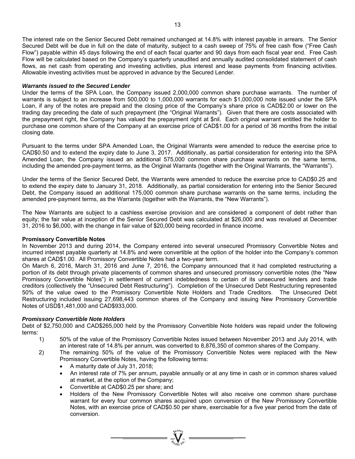The interest rate on the Senior Secured Debt remained unchanged at 14.8% with interest payable in arrears. The Senior Secured Debt will be due in full on the date of maturity, subject to a cash sweep of 75% of free cash flow ("Free Cash Flow") payable within 45 days following the end of each fiscal quarter and 90 days from each fiscal year end. Free Cash Flow will be calculated based on the Company's quarterly unaudited and annually audited consolidated statement of cash flows, as net cash from operating and investing activities, plus interest and lease payments from financing activities. Allowable investing activities must be approved in advance by the Secured Lender.

### *Warrants issued to the Secured Lender*

Under the terms of the SPA Loan, the Company issued 2,000,000 common share purchase warrants. The number of warrants is subject to an increase from 500,000 to 1,000,000 warrants for each \$1,000,000 note issued under the SPA Loan, if any of the notes are prepaid and the closing price of the Company's share price is CAD\$2.00 or lower on the trading day preceding the date of such prepayment (the "Original Warrants"). Given that there are costs associated with the prepayment right, the Company has valued the prepayment right at \$nil. Each original warrant entitled the holder to purchase one common share of the Company at an exercise price of CAD\$1.00 for a period of 36 months from the initial closing date.

Pursuant to the terms under SPA Amended Loan, the Original Warrants were amended to reduce the exercise price to CAD\$0.50 and to extend the expiry date to June 3, 2017. Additionally, as partial consideration for entering into the SPA Amended Loan, the Company issued an additional 575,000 common share purchase warrants on the same terms, including the amended pre-payment terms, as the Original Warrants (together with the Original Warrants, the "Warrants").

Under the terms of the Senior Secured Debt, the Warrants were amended to reduce the exercise price to CAD\$0.25 and to extend the expiry date to January 31, 2018. Additionally, as partial consideration for entering into the Senior Secured Debt, the Company issued an additional 175,000 common share purchase warrants on the same terms, including the amended pre-payment terms, as the Warrants (together with the Warrants, the "New Warrants").

The New Warrants are subject to a cashless exercise provision and are considered a component of debt rather than equity; the fair value at inception of the Senior Secured Debt was calculated at \$26,000 and was revalued at December 31, 2016 to \$6,000, with the change in fair value of \$20,000 being recorded in finance income.

### **Promissory Convertible Notes**

In November 2013 and during 2014, the Company entered into several unsecured Promissory Convertible Notes and incurred interest payable quarterly at 14.8% and were convertible at the option of the holder into the Company's common shares at CAD\$1.00. All Promissory Convertible Notes had a two-year term.

On March 6, 2016, March 31, 2016 and June 7, 2016, the Company announced that it had completed restructuring a portion of its debt through private placements of common shares and unsecured promissory convertible notes (the "New Promissory Convertible Notes") in settlement of current indebtedness to certain of its unsecured lenders and trade creditors (collectively the "Unsecured Debt Restructuring"). Completion of the Unsecured Debt Restructuring represented 50% of the value owed to the Promissory Convertible Note Holders and Trade Creditors. The Unsecured Debt Restructuring included issuing 27,698,443 common shares of the Company and issuing New Promissory Convertible Notes of USD\$1,481,000 and CAD\$933,000.

### *Promissory Convertible Note Holders*

Debt of \$2,750,000 and CAD\$265,000 held by the Promissory Convertible Note holders was repaid under the following terms:

- 1) 50% of the value of the Promissory Convertible Notes issued between November 2013 and July 2014, with an interest rate of 14.8% per annum, was converted to 8,876,350 of common shares of the Company.
- 2) The remaining 50% of the value of the Promissory Convertible Notes were replaced with the New Promissory Convertible Notes, having the following terms:
	- A maturity date of July 31, 2018;
	- An interest rate of 7% per annum, payable annually or at any time in cash or in common shares valued at market, at the option of the Company;
	- Convertible at CAD\$0.25 per share; and
	- Holders of the New Promissory Convertible Notes will also receive one common share purchase warrant for every four common shares acquired upon conversion of the New Promissory Convertible Notes, with an exercise price of CAD\$0.50 per share, exercisable for a five year period from the date of conversion.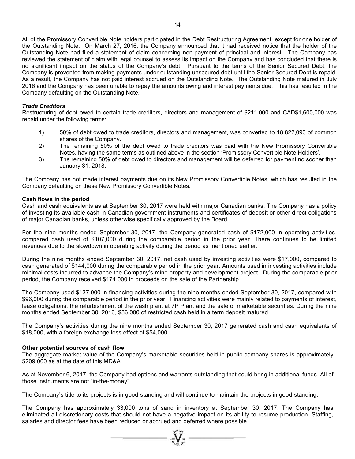All of the Promissory Convertible Note holders participated in the Debt Restructuring Agreement, except for one holder of the Outstanding Note. On March 27, 2016, the Company announced that it had received notice that the holder of the Outstanding Note had filed a statement of claim concerning non-payment of principal and interest. The Company has reviewed the statement of claim with legal counsel to assess its impact on the Company and has concluded that there is no significant impact on the status of the Company's debt. Pursuant to the terms of the Senior Secured Debt, the Company is prevented from making payments under outstanding unsecured debt until the Senior Secured Debt is repaid. As a result, the Company has not paid interest accrued on the Outstanding Note. The Outstanding Note matured in July 2016 and the Company has been unable to repay the amounts owing and interest payments due. This has resulted in the Company defaulting on the Outstanding Note.

### *Trade Creditors*

Restructuring of debt owed to certain trade creditors, directors and management of \$211,000 and CAD\$1,600,000 was repaid under the following terms:

- 1) 50% of debt owed to trade creditors, directors and management, was converted to 18,822,093 of common shares of the Company.
- 2) The remaining 50% of the debt owed to trade creditors was paid with the New Promissory Convertible Notes, having the same terms as outlined above in the section 'Promissory Convertible Note Holders'.
- 3) The remaining 50% of debt owed to directors and management will be deferred for payment no sooner than January 31, 2018.

The Company has not made interest payments due on its New Promissory Convertible Notes, which has resulted in the Company defaulting on these New Promissory Convertible Notes.

### **Cash flows in the period**

Cash and cash equivalents as at September 30, 2017 were held with major Canadian banks. The Company has a policy of investing its available cash in Canadian government instruments and certificates of deposit or other direct obligations of major Canadian banks, unless otherwise specifically approved by the Board.

For the nine months ended September 30, 2017, the Company generated cash of \$172,000 in operating activities, compared cash used of \$107,000 during the comparable period in the prior year. There continues to be limited revenues due to the slowdown in operating activity during the period as mentioned earlier.

During the nine months ended September 30, 2017, net cash used by investing activities were \$17,000, compared to cash generated of \$144,000 during the comparable period in the prior year. Amounts used in investing activities include minimal costs incurred to advance the Company's mine property and development project. During the comparable prior period, the Company received \$174,000 in proceeds on the sale of the Partnership.

The Company used \$137,000 in financing activities during the nine months ended September 30, 2017, compared with \$96,000 during the comparable period in the prior year. Financing activities were mainly related to payments of interest, lease obligations, the refurbishment of the wash plant at 7P Plant and the sale of marketable securities. During the nine months ended September 30, 2016, \$36,000 of restricted cash held in a term deposit matured.

The Company's activities during the nine months ended September 30, 2017 generated cash and cash equivalents of \$18,000, with a foreign exchange loss effect of \$54,000.

### **Other potential sources of cash flow**

The aggregate market value of the Company's marketable securities held in public company shares is approximately \$209,000 as at the date of this MD&A.

As at November 6, 2017, the Company had options and warrants outstanding that could bring in additional funds. All of those instruments are not "in-the-money".

The Company's title to its projects is in good-standing and will continue to maintain the projects in good-standing.

The Company has approximately 33,000 tons of sand in inventory at September 30, 2017. The Company has eliminated all discretionary costs that should not have a negative impact on its ability to resume production. Staffing, salaries and director fees have been reduced or accrued and deferred where possible.

 $=\sum_{\alpha}$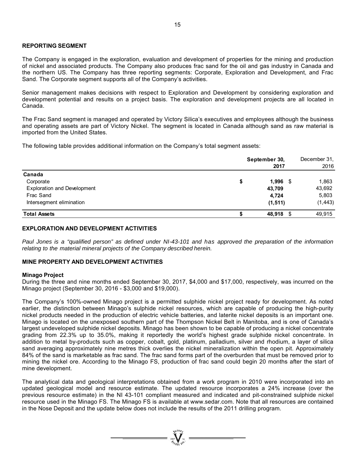### **REPORTING SEGMENT**

The Company is engaged in the exploration, evaluation and development of properties for the mining and production of nickel and associated products. The Company also produces frac sand for the oil and gas industry in Canada and the northern US. The Company has three reporting segments: Corporate, Exploration and Development, and Frac Sand. The Corporate segment supports all of the Company's activities.

Senior management makes decisions with respect to Exploration and Development by considering exploration and development potential and results on a project basis. The exploration and development projects are all located in Canada.

The Frac Sand segment is managed and operated by Victory Silica's executives and employees although the business and operating assets are part of Victory Nickel. The segment is located in Canada although sand as raw material is imported from the United States.

The following table provides additional information on the Company's total segment assets:

|                                    | September 30,<br>2017 |          |  |  |
|------------------------------------|-----------------------|----------|--|--|
| Canada                             |                       |          |  |  |
| Corporate                          | \$<br>$1,996$ \$      | 1,863    |  |  |
| <b>Exploration and Development</b> | 43,709                | 43,692   |  |  |
| Frac Sand                          | 4,724                 | 5,803    |  |  |
| Intersegment elimination           | (1, 511)              | (1, 443) |  |  |
| <b>Total Assets</b>                | 48,918 \$             | 49,915   |  |  |

### **EXPLORATION AND DEVELOPMENT ACTIVITIES**

Paul Jones is a "qualified person" as defined under NI-43-101 and has approved the preparation of the information *relating to the material mineral projects of the Company described herein.* 

### **MINE PROPERTY AND DEVELOPMENT ACTIVITIES**

### **Minago Project**

During the three and nine months ended September 30, 2017, \$4,000 and \$17,000, respectively, was incurred on the Minago project (September 30, 2016 - \$3,000 and \$19,000).

The Company's 100%-owned Minago project is a permitted sulphide nickel project ready for development. As noted earlier, the distinction between Minago's sulphide nickel resources, which are capable of producing the high-purity nickel products needed in the production of electric vehicle batteries, and laterite nickel deposits is an important one. Minago is located on the unexposed southern part of the Thompson Nickel Belt in Manitoba, and is one of Canada's largest undeveloped sulphide nickel deposits. Minago has been shown to be capable of producing a nickel concentrate grading from 22.3% up to 35.0%, making it reportedly the world's highest grade sulphide nickel concentrate. In addition to metal by-products such as copper, cobalt, gold, platinum, palladium, silver and rhodium, a layer of silica sand averaging approximately nine metres thick overlies the nickel mineralization within the open pit. Approximately 84% of the sand is marketable as frac sand. The frac sand forms part of the overburden that must be removed prior to mining the nickel ore. According to the Minago FS, production of frac sand could begin 20 months after the start of mine development.

The analytical data and geological interpretations obtained from a work program in 2010 were incorporated into an updated geological model and resource estimate. The updated resource incorporates a 24% increase (over the previous resource estimate) in the NI 43-101 compliant measured and indicated and pit-constrained sulphide nickel resource used in the Minago FS. The Minago FS is available at www.sedar.com. Note that all resources are contained in the Nose Deposit and the update below does not include the results of the 2011 drilling program.

 $\overline{\mathbf{V}}$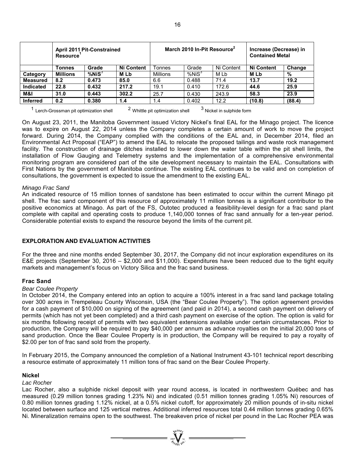|                  | <b>April 2011 Pit-Constrained</b><br>Resource |              |                   | March 2010 In-Pit Resource <sup>2</sup> |                   |            | Increase (Decrease) in<br><b>Contained Metal</b> |        |
|------------------|-----------------------------------------------|--------------|-------------------|-----------------------------------------|-------------------|------------|--------------------------------------------------|--------|
|                  | Tonnes                                        | Grade        | <b>Ni Content</b> | Tonnes                                  | Grade             | Ni Content | <b>Ni Content</b>                                | Change |
| Category         | <b>Millions</b>                               | $%$ Ni $S^3$ | M Lb              | Millions                                | %NiS <sup>3</sup> | M Lb       | <b>MLb</b>                                       | %      |
| <b>Measured</b>  | 8.2                                           | 0.473        | 85.0              | 6.6                                     | 0.488             | 71.4       | 13.7                                             | 19.2   |
| <b>Indicated</b> | 22.8                                          | 0.432        | 217.2             | 19.1                                    | 0.410             | 172.6      | 44.6                                             | 25.9   |
| M&I              | 31.0                                          | 0.443        | 302.2             | 25.7                                    | 0.430             | 243.9      | 58.3                                             | 23.9   |
| <b>Inferred</b>  | 0.2                                           | 0.380        | 1.4               | 1.4                                     | 0.402             | 12.2       | (10.8)                                           | (88.4) |

 $1$  Lerch-Grossman pit optimization shell  $2$  Whittle pit optimization shell  $3$  Nickel in sulphide form

On August 23, 2011, the Manitoba Government issued Victory Nickel's final EAL for the Minago project. The licence was to expire on August 22, 2014 unless the Company completes a certain amount of work to move the project forward. During 2014, the Company complied with the conditions of the EAL and, in December 2014, filed an Environmental Act Proposal ("EAP") to amend the EAL to relocate the proposed tailings and waste rock management facility. The construction of drainage ditches installed to lower down the water table within the pit shell limits, the installation of Flow Gauging and Telemetry systems and the implementation of a comprehensive environmental monitoring program are considered part of the site development necessary to maintain the EAL. Consultations with First Nations by the government of Manitoba continue. The existing EAL continues to be valid and on completion of consultations, the government is expected to issue the amendment to the existing EAL.

### *Minago Frac Sand*

An indicated resource of 15 million tonnes of sandstone has been estimated to occur within the current Minago pit shell. The frac sand component of this resource of approximately 11 million tonnes is a significant contributor to the positive economics at Minago. As part of the FS, Outotec produced a feasibility-level design for a frac sand plant complete with capital and operating costs to produce 1,140,000 tonnes of frac sand annually for a ten-year period. Considerable potential exists to expand the resource beyond the limits of the current pit.

### **EXPLORATION AND EVALUATION ACTIVITIES**

For the three and nine months ended September 30, 2017, the Company did not incur exploration expenditures on its E&E projects (September 30, 2016 – \$2,000 and \$11,000). Expenditures have been reduced due to the tight equity markets and management's focus on Victory Silica and the frac sand business.

### **Frac Sand**

### *Bear Coulee Property*

In October 2014, the Company entered into an option to acquire a 100% interest in a frac sand land package totaling over 300 acres in Trempeleau County Wisconsin, USA (the "Bear Coulee Property"). The option agreement provides for a cash payment of \$10,000 on signing of the agreement (and paid in 2014), a second cash payment on delivery of permits (which has not yet been completed) and a third cash payment on exercise of the option. The option is valid for six months following receipt of permits with two equivalent extensions available under certain circumstances. Prior to production, the Company will be required to pay \$40,000 per annum as advance royalties on the initial 20,000 tons of sand production. Once the Bear Coulee Property is in production, the Company will be required to pay a royalty of \$2.00 per ton of frac sand sold from the property.

In February 2015, the Company announced the completion of a National Instrument 43-101 technical report describing a resource estimate of approximately 11 million tons of frac sand on the Bear Coulee Property.

### **Nickel**

*Lac Rocher* 

Lac Rocher, also a sulphide nickel deposit with year round access, is located in northwestern Québec and has measured (0.29 million tonnes grading 1.23% Ni) and indicated (0.51 million tonnes grading 1.05% Ni) resources of 0.80 million tonnes grading 1.12% nickel, at a 0.5% nickel cutoff, for approximately 20 million pounds of in-situ nickel located between surface and 125 vertical metres. Additional inferred resources total 0.44 million tonnes grading 0.65% Ni. Mineralization remains open to the southwest. The breakeven price of nickel per pound in the Lac Rocher PEA was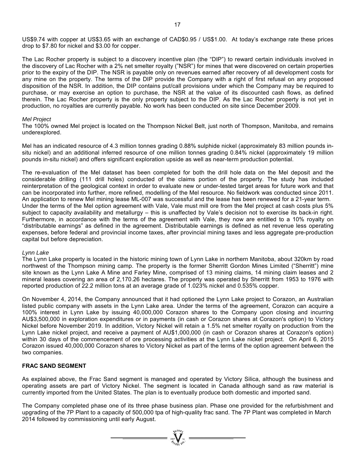US\$9.74 with copper at US\$3.65 with an exchange of CAD\$0.95 / US\$1.00. At today's exchange rate these prices drop to \$7.80 for nickel and \$3.00 for copper.

The Lac Rocher property is subject to a discovery incentive plan (the "DIP") to reward certain individuals involved in the discovery of Lac Rocher with a 2% net smelter royalty ("NSR") for mines that were discovered on certain properties prior to the expiry of the DIP. The NSR is payable only on revenues earned after recovery of all development costs for any mine on the property. The terms of the DIP provide the Company with a right of first refusal on any proposed disposition of the NSR. In addition, the DIP contains put/call provisions under which the Company may be required to purchase, or may exercise an option to purchase, the NSR at the value of its discounted cash flows, as defined therein. The Lac Rocher property is the only property subject to the DIP. As the Lac Rocher property is not yet in production, no royalties are currently payable. No work has been conducted on site since December 2009.

### *Mel Project*

The 100% owned Mel project is located on the Thompson Nickel Belt, just north of Thompson, Manitoba, and remains underexplored.

Mel has an indicated resource of 4.3 million tonnes grading 0.88% sulphide nickel (approximately 83 million pounds insitu nickel) and an additional inferred resource of one million tonnes grading 0.84% nickel (approximately 19 million pounds in-situ nickel) and offers significant exploration upside as well as near-term production potential.

The re-evaluation of the Mel dataset has been completed for both the drill hole data on the Mel deposit and the considerable drilling (111 drill holes) conducted of the claims portion of the property. The study has included reinterpretation of the geological context in order to evaluate new or under-tested target areas for future work and that can be incorporated into further, more refined, modelling of the Mel resource. No fieldwork was conducted since 2011. An application to renew Mel mining lease ML-007 was successful and the lease has been renewed for a 21-year term. Under the terms of the Mel option agreement with Vale, Vale must mill ore from the Mel project at cash costs plus 5% subject to capacity availability and metallurgy – this is unaffected by Vale's decision not to exercise its back-in right. Furthermore, in accordance with the terms of the agreement with Vale, they now are entitled to a 10% royalty on "distributable earnings" as defined in the agreement. Distributable earnings is defined as net revenue less operating expenses, before federal and provincial income taxes, after provincial mining taxes and less aggregate pre-production capital but before depreciation.

### *Lynn Lake*

The Lynn Lake property is located in the historic mining town of Lynn Lake in northern Manitoba, about 320km by road northwest of the Thompson mining camp. The property is the former Sherritt Gordon Mines Limited ("Sherritt") mine site known as the Lynn Lake A Mine and Farley Mine, comprised of 13 mining claims, 14 mining claim leases and 2 mineral leases covering an area of 2,170.26 hectares. The property was operated by Sherritt from 1953 to 1976 with reported production of 22.2 million tons at an average grade of 1.023% nickel and 0.535% copper.

On November 4, 2014, the Company announced that it had optioned the Lynn Lake project to Corazon, an Australian listed public company with assets in the Lynn Lake area. Under the terms of the agreement, Corazon can acquire a 100% interest in Lynn Lake by issuing 40,000,000 Corazon shares to the Company upon closing and incurring AU\$3,500,000 in exploration expenditures or in payments (in cash or Corazon shares at Corazon's option) to Victory Nickel before November 2019. In addition, Victory Nickel will retain a 1.5% net smelter royalty on production from the Lynn Lake nickel project, and receive a payment of AU\$1,000,000 (in cash or Corazon shares at Corazon's option) within 30 days of the commencement of ore processing activities at the Lynn Lake nickel project. On April 6, 2015 Corazon issued 40,000,000 Corazon shares to Victory Nickel as part of the terms of the option agreement between the two companies.

### **FRAC SAND SEGMENT**

As explained above, the Frac Sand segment is managed and operated by Victory Silica, although the business and operating assets are part of Victory Nickel. The segment is located in Canada although sand as raw material is currently imported from the United States. The plan is to eventually produce both domestic and imported sand.

The Company completed phase one of its three phase business plan. Phase one provided for the refurbishment and upgrading of the 7P Plant to a capacity of 500,000 tpa of high-quality frac sand. The 7P Plant was completed in March 2014 followed by commissioning until early August.

 $\sum_{n=1}^{\infty} \sum_{n=1}^{\infty}$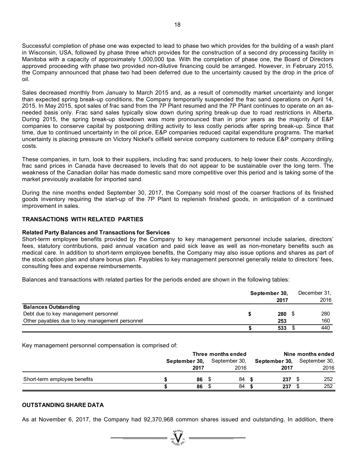Successful completion of phase one was expected to lead to phase two which provides for the building of a wash plant in Wisconsin, USA, followed by phase three which provides for the construction of a second dry processing facility in Manitoba with a capacity of approximately 1,000,000 tpa. With the completion of phase one, the Board of Directors approved proceeding with phase two provided non-dilutive financing could be arranged. However, in February 2015, the Company announced that phase two had been deferred due to the uncertainty caused by the drop in the price of oil.

Sales decreased monthly from January to March 2015 and, as a result of commodity market uncertainty and longer than expected spring break-up conditions, the Company temporarily suspended the frac sand operations on April 14, 2015. In May 2015, spot sales of frac sand from the 7P Plant resumed and the 7P Plant continues to operate on an asneeded basis only. Frac sand sales typically slow down during spring break-up due to road restrictions in Alberta. During 2015, the spring break-up slowdown was more pronounced than in prior years as the majority of E&P companies to conserve capital by postponing drilling activity to less costly periods after spring break-up. Since that time, due to continued uncertainty in the oil price, E&P companies reduced capital expenditure programs. The market uncertainty is placing pressure on Victory Nickel's oilfield service company customers to reduce E&P company drilling costs.

These companies, in turn, look to their suppliers, including frac sand producers, to help lower their costs. Accordingly, frac sand prices in Canada have decreased to levels that do not appear to be sustainable over the long term. The weakness of the Canadian dollar has made domestic sand more competitive over this period and is taking some of the market previously available for imported sand.

During the nine months ended September 30, 2017, the Company sold most of the coarser fractions of its finished goods inventory requiring the start-up of the 7P Plant to replenish finished goods, in anticipation of a continued improvement in sales.

### **TRANSACTIONS WITH RELATED PARTIES**

### **Related Party Balances and Transactions for Services**

Short-term employee benefits provided by the Company to key management personnel include salaries, directors' fees, statutory contributions, paid annual vacation and paid sick leave as well as non-monetary benefits such as medical care. In addition to short-term employee benefits, the Company may also issue options and shares as part of the stock option plan and share bonus plan. Payables to key management personnel generally relate to directors' fees, consulting fees and expense reimbursements.

Balances and transactions with related parties for the periods ended are shown in the following tables:

|                                                | September 30, |      | December 31, |  |
|------------------------------------------------|---------------|------|--------------|--|
|                                                |               | 2017 | 2016         |  |
| <b>Balances Outstanding</b>                    |               |      |              |  |
| Debt due to key management personnel           |               | 280  | 280          |  |
| Other payables due to key management personnel |               | 253  | 160          |  |
|                                                |               | 533  | 440          |  |

Key management personnel compensation is comprised of:

|                              |               | Three months ended | Nine months ended |                                    |  |
|------------------------------|---------------|--------------------|-------------------|------------------------------------|--|
|                              | September 30, | September 30,      |                   | <b>September 30, September 30,</b> |  |
|                              | 2017          | 2016               | 2017              | 2016                               |  |
| Short-term employee benefits | 86            | 84                 | 237<br>- \$       | 252                                |  |
|                              | 86            | 84                 | 237               | 252                                |  |

### **OUTSTANDING SHARE DATA**

As at November 6, 2017, the Company had 92,370,968 common shares issued and outstanding. In addition, there

 $\sum_{\substack{\text{200\%} \\ \text{200\%}}} \sum_{\substack{\text{N} \\ \text{N} \\ \text{N} \\ \text{N} \\ \text{N} \\ \text{N} \\ \text{N} \\ \text{N} \\ \text{N} \\ \text{N} \\ \text{N} \\ \text{N} \\ \text{N} \\ \text{N} \\ \text{N} \\ \text{N} \\ \text{N} \\ \text{N} \\ \text{N} \\ \text{N} \\ \text{N} \\ \text{N} \\ \text{N} \\ \text{N} \\ \text{N} \\ \text{N} \\ \text{N} \\ \text{N} \\ \text{N} \\ \text{N} \\ \text{N} \\ \text{$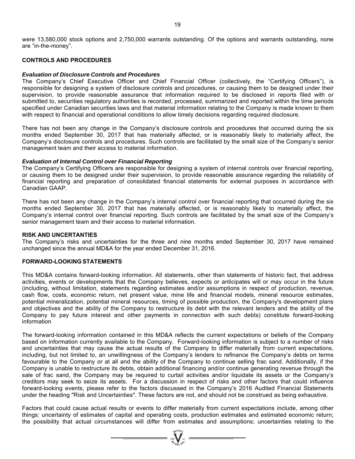were 13,580,000 stock options and 2,750,000 warrants outstanding. Of the options and warrants outstanding, none are "in-the-money".

### **CONTROLS AND PROCEDURES**

### *Evaluation of Disclosure Controls and Procedures*

The Company's Chief Executive Officer and Chief Financial Officer (collectively, the "Certifying Officers"), is responsible for designing a system of disclosure controls and procedures, or causing them to be designed under their supervision, to provide reasonable assurance that information required to be disclosed in reports filed with or submitted to, securities regulatory authorities is recorded, processed, summarized and reported within the time periods specified under Canadian securities laws and that material information relating to the Company is made known to them with respect to financial and operational conditions to allow timely decisions regarding required disclosure.

There has not been any change in the Company's disclosure controls and procedures that occurred during the six months ended September 30, 2017 that has materially affected, or is reasonably likely to materially affect, the Company's disclosure controls and procedures. Such controls are facilitated by the small size of the Company's senior management team and their access to material information.

### *Evaluation of Internal Control over Financial Reporting*

The Company's Certifying Officers are responsible for designing a system of internal controls over financial reporting, or causing them to be designed under their supervision, to provide reasonable assurance regarding the reliability of financial reporting and preparation of consolidated financial statements for external purposes in accordance with Canadian GAAP.

There has not been any change in the Company's internal control over financial reporting that occurred during the six months ended September 30, 2017 that has materially affected, or is reasonably likely to materially affect, the Company's internal control over financial reporting. Such controls are facilitated by the small size of the Company's senior management team and their access to material information.

### **RISK AND UNCERTANTIES**

The Company's risks and uncertainties for the three and nine months ended September 30, 2017 have remained unchanged since the annual MD&A for the year ended December 31, 2016.

### **FORWARD-LOOKING STATEMENTS**

This MD&A contains forward-looking information. All statements, other than statements of historic fact, that address activities, events or developments that the Company believes, expects or anticipates will or may occur in the future (including, without limitation, statements regarding estimates and/or assumptions in respect of production, revenue, cash flow, costs, economic return, net present value, mine life and financial models, mineral resource estimates, potential mineralization, potential mineral resources, timing of possible production, the Company's development plans and objectives and the ability of the Company to restructure its debt with the relevant lenders and the ability of the Company to pay future interest and other payments in connection with such debts) constitute forward-looking information

The forward-looking information contained in this MD&A reflects the current expectations or beliefs of the Company based on information currently available to the Company. Forward-looking information is subject to a number of risks and uncertainties that may cause the actual results of the Company to differ materially from current expectations, including, but not limited to, an unwillingness of the Company's lenders to refinance the Company's debts on terms favourable to the Company or at all and the ability of the Company to continue selling frac sand. Additionally, if the Company is unable to restructure its debts, obtain additional financing and/or continue generating revenue through the sale of frac sand, the Company may be required to curtail activities and/or liquidate its assets or the Company's creditors may seek to seize its assets. For a discussion in respect of risks and other factors that could influence forward-looking events, please refer to the factors discussed in the Company's 2016 Audited Financial Statements under the heading "Risk and Uncertainties". These factors are not, and should not be construed as being exhaustive.

Factors that could cause actual results or events to differ materially from current expectations include, among other things: uncertainty of estimates of capital and operating costs, production estimates and estimated economic return; the possibility that actual circumstances will differ from estimates and assumptions; uncertainties relating to the

 $= \prod_{\substack{3M\\ \text{odd }N}}^{3M}$